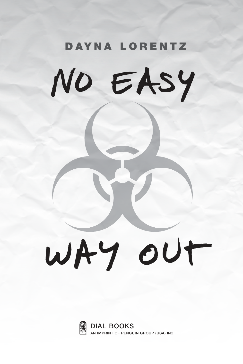# DAYNA LORENTZ NO EASY

# WAY OUT

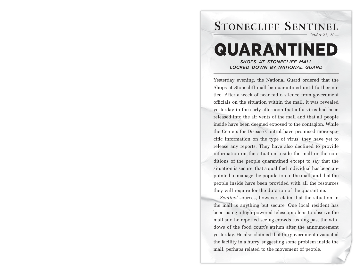### **STONECLIFF SENTINEL**

*October 21, 20—*

#### QUARANTINED *SHOPS AT STONECLIFF MALL LOCKED DOWN BY NATIONAL GUARD*

Yesterday evening, the National Guard ordered that the Shops at Stonecliff mall be quarantined until further notice. After a week of near radio silence from government officials on the situation within the mall, it was revealed yesterday in the early afternoon that a flu virus had been released into the air vents of the mall and that all people inside have been deemed exposed to the contagion. While the Centers for Disease Control have promised more specific information on the type of virus, they have yet to release any reports. They have also declined to provide information on the situation inside the mall or the conditions of the people quarantined except to say that the situation is secure, that a qualified individual has been appointed to manage the population in the mall, and that the people inside have been provided with all the resources they will require for the duration of the quarantine.

*Sentinel* sources, however, claim that the situation in the mall is anything but secure. One local resident has been using a high-powered telescopic lens to observe the mall and he reported seeing crowds rushing past the windows of the food court's atrium after the announcement yesterday. He also claimed that the government evacuated the facility in a hurry, suggesting some problem inside the mall, perhaps related to the movement of people.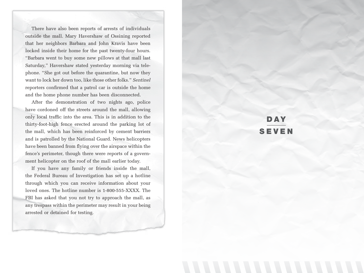There have also been reports of arrests of individuals outside the mall. Mary Havershaw of Ossining reported that her neighbors Barbara and John Kravis have been locked inside their home for the past twenty-four hours. "Barbara went to buy some new pillows at that mall last Saturday," Havershaw stated yesterday morning via tele phone. "She got out before the quarantine, but now they want to lock her down too, like those other folks." *Sentinel* reporters confirmed that a patrol car is outside the home and the home phone number has been disconnected.

After the demonstration of two nights ago, police have cordoned off the streets around the mall, allowing only local traffic into the area. This is in addition to the thirty-foot-high fence erected around the parking lot of the mall, which has been reinforced by cement barriers and is patrolled by the National Guard. News helicopters have been banned from flying over the airspace within the fence's perimeter, though there were reports of a govern ment helicopter on the roof of the mall earlier today.

If you have any family or friends inside the mall, the Federal Bureau of Investigation has set up a hotline through which you can receive information about your loved ones. The hotline number is 1-800-555-XXXX. The FBI has asked that you not try to approach the mall, as any trespass within the perimeter may result in your being arrested or detained for testing.

#### DAY SEVEN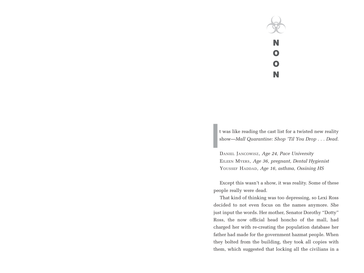## N O O N

**I** t was like reading the cast list for a twisted new reality show—*Mall Quarantine: Shop 'Til You Drop . . . Dead*.

Daniel Jancowisz, *Age 24, Pace University* Eileen Myers*, Age 36, pregnant, Dental Hygienist* YOUSSEF HADDAD, Age 16, asthma, Ossining HS

Except this wasn't a show, it was reality. Some of these people really were dead.

That kind of thinking was too depressing, so Lexi Ross decided to not even focus on the names anymore. She just input the words. Her mother, Senator Dorothy "Dotty" Ross, the now official head honcho of the mall, had charged her with re-creating the population database her father had made for the government hazmat people. When they bolted from the building, they took all copies with them, which suggested that locking all the civilians in a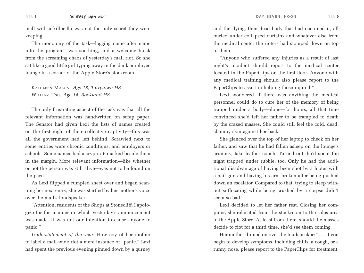mall with a killer flu was not the only secret they were keeping.

The monotony of the task—logging name after name into the program—was soothing, and a welcome break from the screaming chaos of yesterday's mall riot. So she sat like a good little girl typing away in the dank employee lounge in a corner of the Apple Store's stockroom.

Kathleen Mason, *Age 18, Tarrytown HS* William Tsu, *Age 14, Rockland HS*

The only frustrating aspect of the task was that all the relevant information was handwritten on scrap paper. The Senator had given Lexi the lists of names created on the first night of their collective captivity—this was all the government had left behind. Scrawled next to some entries were chronic conditions, and employers or schools. Some names had a cryptic *V* marked beside them in the margin. More relevant information—like whether or not the person was still alive—was not to be found on the page.

As Lexi flipped a rumpled sheet over and began scanning her next entry, she was startled by her mother's voice over the mall's loudspeaker.

"Attention, residents of the Shops at Stonecliff. I apologize for the manner in which yesterday's announcement was made. It was not our intention to cause anyone to panic."

*Understatement of the year*. How coy of her mother to label a mall-wide riot a mere instance of "panic." Lexi had spent the previous evening pinned down by a gurney and the dying, then dead body that had occupied it, all buried under collapsed curtains and whatever else from the medical center the rioters had stomped down on top of them.

"Anyone who suffered any injuries as a result of last night's incident should report to the medical center located in the PaperClips on the first floor. Anyone with any medical training should also please report to the PaperClips to assist in helping those injured."

Lexi wondered if there was anything the medical personnel could do to cure her of the memory of being trapped under a body—alone—for hours, all that time convinced she'd left her father to be trampled to death by the crazed masses. She could still feel the cold, dead, clammy skin against her back.

She glanced over the top of her laptop to check on her father, and saw that he had fallen asleep on the lounge's crummy, fake leather couch. Turned out, he'd spent the night trapped under rubble, too. Only he had the additional disadvantage of having been shot by a looter with a nail gun and having his arm broken after being pushed down an escalator. Compared to that, trying to sleep without suffocating while being crushed by a corpse didn't seem so bad.

Lexi decided to let her father rest. Closing her computer, she relocated from the stockroom to the sales area of the Apple Store. At least from there, should the masses decide to riot for a third time, she'd see them coming.

Her mother droned on over the loudspeaker: ". . . if you begin to develop symptoms, including chills, a cough, or a runny nose, please report to the PaperClips for treatment.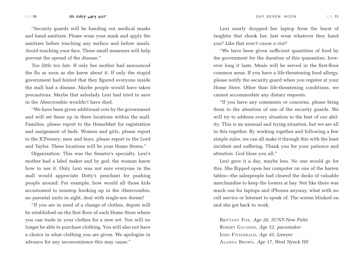"Security guards will be handing out medical masks and hand sanitizer. Please wear your mask and apply the sanitizer before touching any surface and before meals. Avoid touching your face. These small measures will help prevent the spread of the disease."

*Too little too late.* If only her mother had announced the flu as soon as she knew about it. If only the stupid government had hinted that they figured everyone inside the mall had a disease. Maybe people would have taken precautions. Maybe that saleslady Lexi had tried to save in the Abercrombie wouldn't have died.

"We have been given additional cots by the government and will set these up in three locations within the mall. Families, please report to the HomeMart for registration and assignment of beds. Women and girls, please report to the JCPenney; men and boys, please report to the Lord and Taylor. These locations will be your Home Stores."

Organization: This was the Senator's specialty. Lexi's mother had a label maker and by god, the woman knew how to use it. Only Lexi was not sure everyone in the mall would appreciate Dotty's penchant for pushing people around. For example, how would all those kids accustomed to nonstop hooking up in the Abercrombie, no parental units in sight, deal with single-sex dorms?

"If you are in need of a change of clothes, depots will be established on the first floor of each Home Store where you can trade in your clothes for a new set. You will no longer be able to purchase clothing. You will also not have a choice in what clothing you are given. We apologize in advance for any inconvenience this may cause."

Lexi nearly dropped her laptop from the burst of laughter that shook her. Just wear whatever they hand you? *Like* that *won't cause a riot?*

"We have been given sufficient quantities of food by the government for the duration of this quarantine, however long it lasts. Meals will be served in the first-floor common areas. If you have a life-threatening food allergy, please notify the security guard when you register at your Home Store. Other than life-threatening conditions, we cannot accommodate any dietary requests.

"If you have any comments or concerns, please bring them to the attention of one of the security guards. We will try to address every situation to the best of our ability. This is an unusual and trying situation, but we are all in this together. By working together and following a few simple rules, we can all make it through this with the least incident and suffering. Thank you for your patience and attention. God bless you all."

Lexi gave it a day, maybe less. No one would go for this. She flipped open her computer on one of the barren tables—the salespeople had cleared the decks of valuable merchandise to keep the looters at bay. Not like there was much use for laptops and iPhones anyway, what with no cell service or Internet to speak of. The screen blinked on and she got back to work.

Brittany Fox, *Age 20, SUNY-New Paltz* Robert Gaudino, *Age 52, pacemaker*  John Fitzgerald, *Age 45, Lawyer* Alanna Brown, *Age 17, West Nyack HS*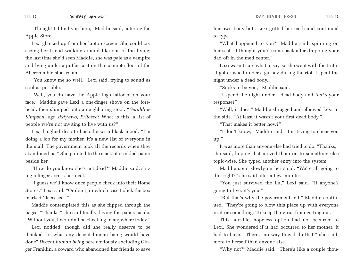"Thought I'd find you here," Maddie said, entering the Apple Store.

Lexi glanced up from her laptop screen. She could cry seeing her friend walking around like one of the living; the last time she'd seen Maddie, she was pale as a vampire and lying under a puffer coat on the concrete floor of the Abercrombie stockroom.

"You know me so well," Lexi said, trying to sound as cool as possible.

"Well, you do have the Apple logo tattooed on your face." Maddie gave Lexi a one-finger shove on the forehead, then slumped onto a neighboring stool. "*Geraldine Simpson, age sixty-two, Prilosec*? What is this, a list of people we're *not* inviting to live with us?"

Lexi laughed despite her otherwise black mood. "I'm doing a job for my mother. It's a new list of everyone in the mall. The government took all the records when they abandoned us." She pointed to the stack of crinkled paper beside her.

"How do you know she's not dead?" Maddie said, slicing a finger across her neck.

"I guess we'll know once people check into their Home Stores," Lexi said. "Or don't, in which case I click the box marked 'deceased.'"

Maddie contemplated this as she flipped through the pages. "Thanks," she said finally, laying the papers aside. "Without you, I wouldn't be checking in anywhere today."

Lexi nodded, though did she really deserve to be thanked for what any decent human being would have done? *Decent human being* here obviously excluding Ginger Franklin, a coward who abandoned her friends to save

her own bony butt. Lexi gritted her teeth and continued to type.

"What happened to you?" Maddie said, spinning on her seat. "I thought you'd come back after dropping your dad off in the med center."

Lexi wasn't sure what to say, so she went with the truth. "I got crushed under a gurney during the riot. I spent the night under a dead body."

"Sucks to be you," Maddie said.

"I spend the night under a dead body and *that's* your response?"

"Well, it does." Maddie shrugged and elbowed Lexi in the side. "At least it wasn't your first dead body."

"That makes it better how?"

"I don't know," Maddie said. "I'm trying to cheer you up."

It was more than anyone else had tried to do. "Thanks," she said, hoping that moved them on to something else topic-wise. She typed another entry into the system.

Maddie spun slowly on her stool. "We're all going to die, right?" she said after a few minutes.

"You just survived the flu," Lexi said. "If anyone's going to live, it's you."

"But that's why the government left," Maddie continued. "They're going to blow this place up with everyone in it or something. To keep the virus from getting out."

This horrible, hopeless option had not occurred to Lexi. She wondered if it had occurred to her mother. It had to have. "There's no way they'd do that," she said, more to herself than anyone else.

"Why not?" Maddie said. "There's like a couple thou-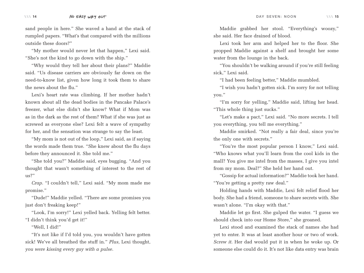sand people in here." She waved a hand at the stack of rumpled papers. "What's that compared with the millions outside these doors?"

"My mother would never let that happen," Lexi said. "She's not the kind to go down with the ship."

"Why would they tell her about their plans?" Maddie said. "Us disease carriers are obviously far down on the need-to-know list, given how long it took them to share the news about the flu."

Lexi's heart rate was climbing. If her mother hadn't known about all the dead bodies in the Pancake Palace's freezer, what else didn't she know? What if Mom was as in the dark as the rest of them? What if she was just as screwed as everyone else? Lexi felt a wave of sympathy for her, and the sensation was strange to say the least.

"My mom is not out of the loop," Lexi said, as if saying the words made them true. "She knew about the flu days before they announced it. She told me."

"She told you?" Maddie said, eyes bugging. "And you thought that wasn't something of interest to the rest of us?"

*Crap.* "I couldn't tell," Lexi said. "My mom made me promise."

"Dude!" Maddie yelled. "There are some promises you just don't freaking keep!"

"Look, I'm sorry!" Lexi yelled back. Yelling felt better. "I didn't think you'd get it!"

"Well, I did!"

"It's not like if I'd told you, you wouldn't have gotten sick! We've all breathed the stuff in." *Plus,* Lexi thought, *you were kissing every guy with a pulse.*

Maddie grabbed her stool. "Everything's woozy," she said. Her face drained of blood.

Lexi took her arm and helped her to the floor. She propped Maddie against a shelf and brought her some water from the lounge in the back.

"You shouldn't be walking around if you're still feeling sick," Lexi said.

"I had been feeling better," Maddie mumbled.

"I wish you hadn't gotten sick. I'm sorry for not telling you."

"I'm sorry for yelling," Maddie said, lifting her head. "This whole thing just sucks."

"Let's make a pact," Lexi said. "No more secrets. I tell you everything, you tell me everything."

Maddie smirked. "Not really a fair deal, since you're the only one with secrets."

"You're the most popular person I know," Lexi said. "Who knows what you'll learn from the cool kids in the mall? You give me intel from the masses, I give you intel from my mom. Deal?" She held her hand out.

"Gossip for actual information?" Maddie took her hand. "You're getting a pretty raw deal."

Holding hands with Maddie, Lexi felt relief flood her body. She had a friend, someone to share secrets with. She wasn't alone. "I'm okay with that."

Maddie let go first. She gulped the water. "I guess we should check into our Home Store," she groaned.

Lexi stood and examined the stack of names she had yet to enter. It was at least another hour or two of work. *Screw it*. Her dad would put it in when he woke up. Or someone else could do it. It's not like data entry was brain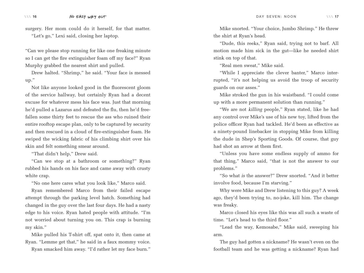surgery. Her mom could do it herself, for that matter. "Let's go," Lexi said, closing her laptop.

"Can we please stop running for like one freaking minute so I can get the fire extinguisher foam off my face?" Ryan Murphy grabbed the nearest shirt and pulled.

Drew halted. "Shrimp," he said. "Your face is messed up."

Not like anyone looked good in the fluorescent gloom of the service hallway, but certainly Ryan had a decent excuse for whatever mess his face was. Just that morning he'd pulled a Lazarus and defeated the flu, then he'd freefallen some thirty feet to rescue the ass who ruined their entire rooftop escape plan, only to be captured by security and then rescued in a cloud of fire-extinguisher foam. He swiped the wicking fabric of his climbing shirt over his skin and felt something smear around.

"That didn't help," Drew said.

"Can we stop at a bathroom or something?" Ryan rubbed his hands on his face and came away with crusty white crap.

"No one here cares what you look like," Marco said.

Ryan remembered Marco from their failed escape attempt through the parking level hatch. Something had changed in the guy over the last four days. He had a nasty edge to his voice. Ryan hated people with attitude. "I'm not worried about turning you on. This crap is burning my skin."

Mike pulled his T-shirt off, spat onto it, then came at Ryan. "Lemme get that," he said in a faux mommy voice.

Ryan smacked him away. "I'd rather let my face burn."

Mike snorted. "Your choice, Jumbo Shrimp." He threw the shirt at Ryan's head.

"Dude, this reeks," Ryan said, trying not to barf. All motion made him sick in the gut—like he needed shirt stink on top of that.

"Real men sweat," Mike said.

"While I appreciate the clever banter," Marco interrupted, "it's not helping us avoid the troop of security guards on our asses."

Mike stroked the gun in his waistband. "I could come up with a more permanent solution than running."

"We are not *killing* people," Ryan stated, like he had any control over Mike's use of his new toy, lifted from the police officer Ryan had tackled. He'd been as effective as a ninety-pound linebacker in stopping Mike from killing the dude in Shep's Sporting Goods. Of course, that guy had shot an arrow at them first.

"Unless you have some endless supply of ammo for that thing," Marco said, "that is not the answer to our problems."

"So what *is* the answer?" Drew snorted. "And it better involve food, because I'm starving."

Why were Mike and Drew listening to this guy? A week ago, they'd been trying to, no-joke, kill him. The change was freaky.

Marco closed his eyes like this was all such a waste of time. "Let's head to the third floor."

"Lead the way, Kemosabe," Mike said, sweeping his arm.

The guy had gotten a nickname? He wasn't even on the football team and he was getting a nickname? Ryan had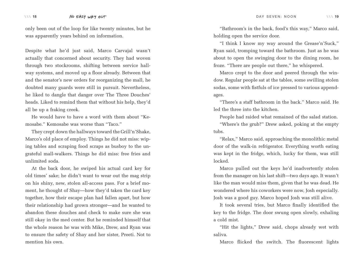only been out of the loop for like twenty minutes, but he was apparently years behind on information.

Despite what he'd just said, Marco Carvajal wasn't actually that concerned about security. They had woven through two stockrooms, shifting between service hallway systems, and moved up a floor already. Between that and the senator's new orders for reorganizing the mall, he doubted many guards were still in pursuit. Nevertheless, he liked to dangle that danger over The Three Douches' heads. Liked to remind them that without his help, they'd all be up a fraking creek.

He would have to have a word with them about "Kemosabe." Kemosabe was worse than "Taco."

They crept down the hallways toward the Grill'n'Shake, Marco's old place of employ. Things he did not miss: wiping tables and scraping food scraps as busboy to the ungrateful mall-walkers. Things he did miss: free fries and unlimited soda.

At the back door, he swiped his actual card key for old times' sake; he didn't want to wear out the mag strip on his shiny, new, stolen all-access pass. For a brief moment, he thought of Shay—how they'd taken the card key together, how their escape plan had fallen apart, but how their relationship had grown stronger—and he wanted to abandon these douches and check to make sure she was still okay in the med center. But he reminded himself that the whole reason he was with Mike, Drew, and Ryan was to ensure the safety of Shay and her sister, Preeti. Not to mention his own.

"Bathroom's in the back, food's this way," Marco said, holding open the service door.

"I think I know my way around the Grease'n'Suck," Ryan said, tromping toward the bathroom. Just as he was about to open the swinging door to the dining room, he froze. "There are people out there," he whispered.

Marco crept to the door and peered through the window. Regular people sat at the tables, some swilling stolen sodas, some with fistfuls of ice pressed to various appendages.

"There's a staff bathroom in the back." Marco said. He led the three into the kitchen.

People had raided what remained of the salad station.

"Where's the grub?" Drew asked, poking at the empty tubs.

"Relax," Marco said, approaching the monolithic metal door of the walk-in refrigerator. Everything worth eating was kept in the fridge, which, lucky for them, was still locked.

Marco pulled out the keys he'd inadvertently stolen from the manager on his last shift—two days ago. It wasn't like the man would miss them, given that he was dead. He wondered where his coworkers were now, Josh especially. Josh was a good guy. Marco hoped Josh was still alive.

It took several tries, but Marco finally identified the key to the fridge. The door swung open slowly, exhaling a cold mist.

"Hit the lights," Drew said, chops already wet with saliva.

Marco flicked the switch. The fluorescent lights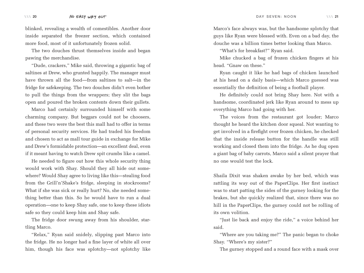blinked, revealing a wealth of comestibles. Another door inside separated the freezer section, which contained more food, most of it unfortunately frozen solid.

The two douches thrust themselves inside and began pawing the merchandise.

"Dude, crackers," Mike said, throwing a gigantic bag of saltines at Drew, who grunted happily. The manager must have thrown all the food—from saltines to salt—in the fridge for safekeeping. The two douches didn't even bother to pull the things from the wrappers; they slit the bags open and poured the broken contents down their gullets.

Marco had certainly surrounded himself with some charming company. But beggars could not be choosers, and these two were the best this mall had to offer in terms of personal security services. He had traded his freedom and chosen to act as mall tour guide in exchange for Mike and Drew's formidable protection—an excellent deal, even if it meant having to watch Drew spit crumbs like a camel.

He needed to figure out how this whole security thing would work with Shay. Should they all hide out somewhere? Would Shay agree to living like this—stealing food from the Grill'n'Shake's fridge, sleeping in stockrooms? What if she was sick or really hurt? No, she needed something better than this. So he would have to run a dual operation—one to keep Shay safe, one to keep these idiots safe so they could keep him and Shay safe.

The fridge door swung away from his shoulder, startling Marco.

"Relax," Ryan said snidely, slipping past Marco into the fridge. He no longer had a fine layer of white all over him, though his face was splotchy—not splotchy like Marco's face always was, but the handsome splotchy that guys like Ryan were blessed with. Even on a bad day, the douche was a billion times better looking than Marco.

"What's for breakfast?" Ryan said.

Mike chucked a bag of frozen chicken fingers at his head. "Gnaw on these."

Ryan caught it like he had bags of chicken launched at his head on a daily basis—which Marco guessed was essentially the definition of being a football player.

He definitely could not bring Shay here. Not with a handsome, coordinated jerk like Ryan around to mess up everything Marco had going with her.

The voices from the restaurant got louder; Marco thought he heard the kitchen door squeal. Not wanting to get involved in a firefight over frozen chicken, he checked that the inside release button for the handle was still working and closed them into the fridge. As he dug open a giant bag of baby carrots, Marco said a silent prayer that no one would test the lock.

Shaila Dixit was shaken awake by her bed, which was rattling its way out of the PaperClips. Her first instinct was to start patting the sides of the gurney looking for the brakes, but she quickly realized that, since there was no hill in the PaperClips, the gurney could not be rolling of its own volition.

"Just lie back and enjoy the ride," a voice behind her said.

"Where are you taking me?" The panic began to choke Shay. "Where's my sister?"

The gurney stopped and a round face with a mask over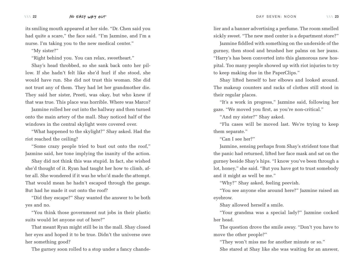its smiling mouth appeared at her side. "Dr. Chen said you had quite a scare," the face said. "I'm Jazmine, and I'm a nurse. I'm taking you to the new medical center."

"My sister?"

"Right behind you. You can relax, sweetheart."

Shay's head throbbed, so she sank back onto her pillow. If she hadn't felt like she'd hurl if she stood, she would have run. She did not trust this woman. She did not trust any of them. They had let her grandmother die. They said her sister, Preeti, was okay, but who knew if that was true. This place was horrible. Where was Marco?

Jazmine rolled her out into the hallway and then turned onto the main artery of the mall. Shay noticed half of the windows in the central skylight were covered over.

"What happened to the skylight?" Shay asked. Had the riot reached the ceiling?

"Some crazy people tried to bust out onto the roof," Jazmine said, her tone implying the inanity of the action.

Shay did not think this was stupid. In fact, she wished she'd thought of it. Ryan had taught her how to climb, after all. She wondered if it was he who'd made the attempt. That would mean he hadn't escaped through the garage. But had he made it out onto the roof?

"Did they escape?" Shay wanted the answer to be both yes and no.

"You think those government nut jobs in their plastic suits would let anyone out of here?"

That meant Ryan might still be in the mall. Shay closed her eyes and hoped it to be true. Didn't the universe owe her something good?

The gurney soon rolled to a stop under a fancy chande-

lier and a banner advertising a perfume. The room smelled sickly sweet. "The new med center is a department store?"

Jazmine fiddled with something on the underside of the gurney, then stood and brushed her palms on her jeans. "Harry's has been converted into this glamorous new hospital. Too many people showed up with riot injuries to try to keep making due in the PaperClips."

Shay lifted herself to her elbows and looked around. The makeup counters and racks of clothes still stood in their regular places.

"It's a work in progress," Jazmine said, following her gaze. "We moved you first, as you're non-critical."

"And my sister?" Shay asked.

"Flu cases will be moved last. We're trying to keep them separate."

"Can I see her?"

Jazmine, sensing perhaps from Shay's strident tone that the panic had returned, lifted her face mask and sat on the gurney beside Shay's hips. "I know you've been through a lot, honey," she said. "But you have got to trust somebody and it might as well be me."

"Why?" Shay asked, feeling peevish.

"You see anyone else around here?" Jazmine raised an eyebrow.

Shay allowed herself a smile.

"Your grandma was a special lady?" Jazmine cocked her head.

The question drove the smile away. "Don't you have to move the other people?"

"They won't miss me for another minute or so."

She stared at Shay like she was waiting for an answer,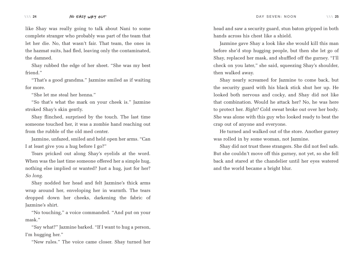like Shay was really going to talk about Nani to some complete stranger who probably was part of the team that let her die. No, that wasn't fair. That team, the ones in the hazmat suits, had fled, leaving only the contaminated, the damned.

Shay rubbed the edge of her sheet. "She was my best friend."

"That's a good grandma." Jazmine smiled as if waiting for more.

"She let me steal her henna."

"So that's what the mark on your cheek is." Jazmine stroked Shay's skin gently.

Shay flinched, surprised by the touch. The last time someone touched her, it was a zombie hand reaching out from the rubble of the old med center.

Jazmine, unfazed, smiled and held open her arms. "Can I at least give you a hug before I go?"

Tears pricked out along Shay's eyelids at the word. When was the last time someone offered her a simple hug, nothing else implied or wanted? Just a hug, just for her? *So long*.

Shay nodded her head and felt Jazmine's thick arms wrap around her, enveloping her in warmth. The tears dropped down her cheeks, darkening the fabric of Jazmine's shirt.

"No touching," a voice commanded. "And put on your mask."

"Say what?" Jazmine barked. "If I want to hug a person, I'm hugging her."

"New rules." The voice came closer. Shay turned her

head and saw a security guard, stun baton gripped in both hands across his chest like a shield.

Jazmine gave Shay a look like she would kill this man before she'd stop hugging people, but then she let go of Shay, replaced her mask, and shuffled off the gurney. "I'll check on you later," she said, squeezing Shay's shoulder, then walked away.

Shay nearly screamed for Jazmine to come back, but the security guard with his black stick shut her up. He looked both nervous and cocky, and Shay did not like that combination. Would he attack her? No, he was here to protect her. *Right?* Cold sweat broke out over her body. She was alone with this guy who looked ready to beat the crap out of anyone and everyone.

He turned and walked out of the store. Another gurney was rolled in by some woman, not Jazmine.

Shay did not trust these strangers. She did not feel safe. But she couldn't move off this gurney, not yet, so she fell back and stared at the chandelier until her eyes watered and the world became a bright blur.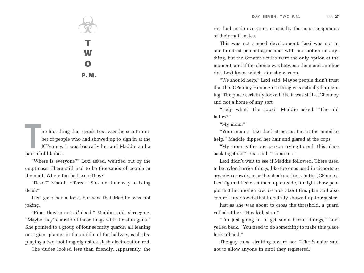DAY SEVEN: TWO P.M.

T W O P. M .

**THE first thing that struck Lexi was the scant num-**<br>ber of people who had showed up to sign in at the<br>JCPenney. It was basically her and Maddie and a<br>pair of old ladies. ber of people who had showed up to sign in at the JCPenney. It was basically her and Maddie and a pair of old ladies.

"Where is everyone?" Lexi asked, weirded out by the emptiness. There still had to be thousands of people in the mall. Where the hell were they?

"Dead?" Maddie offered. "Sick on their way to being dead?"

Lexi gave her a look, but saw that Maddie was not joking.

"Fine, they're not *all* dead," Maddie said, shrugging. "Maybe they're afraid of those thugs with the stun guns." She pointed to a group of four security guards, all leaning on a giant planter in the middle of the hallway, each displaying a two-foot-long nightstick-slash-electrocution rod.

The dudes looked less than friendly. Apparently, the

riot had made everyone, especially the cops, suspicious of their mall-mates.

This was not a good development. Lexi was not in one hundred percent agreement with her mother on anything, but the Senator's rules were the only option at the moment, and if the choice was between them and another riot, Lexi knew which side she was on.

"We should help," Lexi said. Maybe people didn't trust that the JCPenney Home Store thing was actually happening. The place certainly looked like it was still a JCPenney and not a home of any sort.

"Help what? The cops?" Maddie asked. "The old ladies?"

"My mom."

"Your mom is like the last person I'm in the mood to help." Maddie flipped her hair and glared at the cops.

"My mom is the one person trying to pull this place back together," Lexi said. "Come on."

Lexi didn't wait to see if Maddie followed. There used to be nylon barrier things, like the ones used in airports to organize crowds, near the checkout lines in the JCPenney. Lexi figured if she set them up outside, it might show people that her mother was serious about this plan and also control any crowds that hopefully showed up to register.

Just as she was about to cross the threshold, a guard yelled at her. "Hey kid, stop!"

"I'm just going in to get some barrier things," Lexi yelled back. "You need to do something to make this place look official."

The guy came strutting toward her. "The Senator said not to allow anyone in until they registered."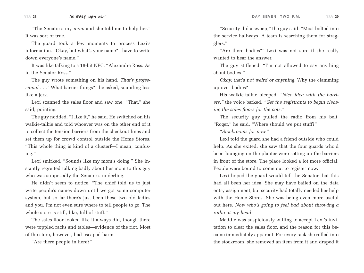"The Senator's my *mom* and she told me to help her." It was sort of true.

The guard took a few moments to process Lexi's information. "Okay, but what's your name? I have to write down everyone's name."

It was like talking to a 16-bit NPC. "Alexandra Ross. As in the Senator Ross."

The guy wrote something on his hand. *That's professional . . .* "What barrier things?" he asked, sounding less like a jerk.

Lexi scanned the sales floor and saw one. "That," she said, pointing.

The guy nodded. "I like it," he said. He switched on his walkie-talkie and told whoever was on the other end of it to collect the tension barriers from the checkout lines and set them up for crowd control outside the Home Stores. "This whole thing is kind of a clusterf—I mean, confusing."

Lexi smirked. "Sounds like my mom's doing." She instantly regretted talking badly about her mom to this guy who was supposedly the Senator's underling.

He didn't seem to notice. "The chief told us to just write people's names down until we got some computer system, but so far there's just been these two old ladies and you. I'm not even sure where to tell people to go. The whole store is still, like, full of stuff."

The sales floor looked like it always did, though there were toppled racks and tables—evidence of the riot. Most of the store, however, had escaped harm.

"Are there people in here?"

"Security did a sweep," the guy said. "Most bolted into the service hallways. A team is searching them for stragglers."

"Are there bodies?" Lexi was not sure if she really wanted to hear the answer.

The guy stiffened. "I'm not allowed to say anything about bodies."

*Okay,* that's *not weird or anything.* Why the clamming up over bodies?

His walkie-talkie bleeped. *"Nice idea with the barriers,"* the voice barked. *"Get the registrants to begin clearing the sales floors for the cots."*

The security guy pulled the radio from his belt. "Roger," he said. "Where should we put stuff?"

*"Stockrooms for now."*

Lexi told the guard she had a friend outside who could help. As she exited, she saw that the four guards who'd been lounging on the planter were setting up the barriers in front of the store. The place looked a lot more official. People were bound to come out to register now.

Lexi hoped the guard would tell the Senator that this had all been her idea. She may have bailed on the data entry assignment, but security had totally needed her help with the Home Stores. She was being even more useful out here. *Now who's going to feel bad about throwing a radio at my head?*

Maddie was suspiciously willing to accept Lexi's invitation to clear the sales floor, and the reason for this became immediately apparent. For every rack she rolled into the stockroom, she removed an item from it and draped it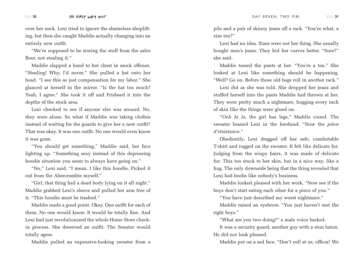over her neck. Lexi tried to ignore the shameless shoplifting, but then she caught Maddie actually changing into an entirely new outfit.

"We're supposed to be storing the stuff from the sales floor, not stealing it."

Maddie slapped a hand to her chest in mock offense. "Stealing! Why, I'd never." She pulled a hat onto her head. "I see this as just compensation for my labor." She glanced at herself in the mirror. "Is the hat too much? Yeah, I agree." She took it off and Frisbeed it into the depths of the stock area.

Lexi checked to see if anyone else was around. No, they were alone. So what if Maddie *was* taking clothes instead of waiting for the guards to give her a new outfit? That was okay. It was one outfit. No one would even know it was gone.

"You should get something," Maddie said, her face lighting up. "Something sexy instead of this depressing hoodie situation you seem to always have going on."

"No," Lexi said. "I mean, I like this hoodie. Picked it out from the Abercrombie myself."

"Girl, that thing had a dead body lying on it all night." Maddie grabbed Lexi's sleeve and pulled her arm free of it. "This hoodie must be trashed."

Maddie made a good point. Okay. One outfit for each of them. No one would know. It would be totally fine. And Lexi had just revolutionized the whole Home Store checkin process. She deserved an outfit. The Senator would totally agree.

Maddie pulled an expensive-looking sweater from a

pile and a pair of skinny jeans off a rack. "You're what, a size ten?"

Lexi had no idea. Sizes were not her thing. She usually bought men's jeans. They hid her curves better. "Sure?" she said.

Maddie tossed the pants at her. "You're a ten." She looked at Lexi like something should be happening. "Well? Go on. Before those old bags roll in another rack."

Lexi did as she was told. She dropped her jeans and stuffed herself into the pants Maddie had thrown at her. They were pretty much a nightmare, hugging every inch of skin like the things were glued on.

"*Ooh la la*, the girl has legs," Maddie cooed. The sweater beaned Lexi in the forehead. "Now the *pièce d'rèsistance*."

Obediently, Lexi dragged off her safe, comfortable T-shirt and tugged on the sweater. It felt like delicate fur. Judging from the wispy hairs, it was made of delicate fur. This too stuck to her skin, but in a nice way, like a hug. The only downside being that the thing revealed that Lexi had boobs like nobody's business.

Maddie looked pleased with her work. "Now see if the boys don't start eating each other for a piece of you."

"You have just described my worst nightmare."

Maddie raised an eyebrow. "You just haven't met the right boys."

"What are you two doing?" a male voice barked.

It was a security guard, another guy with a stun baton. He did not look pleased.

Maddie put on a sad face. "Don't yell at us, officer! We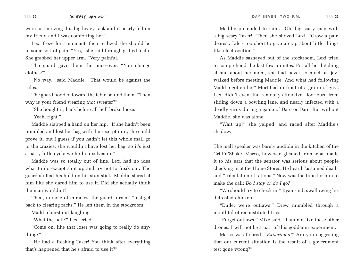were just moving this big heavy rack and it nearly fell on my friend and I was comforting her."

Lexi froze for a moment, then realized she should be in some sort of pain. "Yes," she said through gritted teeth. She grabbed her upper arm. "Very painful."

The guard gave them the once-over. "You change clothes?"

"No way," said Maddie. "That would be against the rules."

The guard nodded toward the table behind them. "Then why is your friend wearing *that* sweater?"

"She bought it, back before all hell broke loose."

"Yeah, right."

Maddie slapped a hand on her hip. "If she hadn't been trampled and lost her bag with the receipt in it, she could prove it, but I guess if you hadn't let this whole mall go to the crazies, she wouldn't have lost her bag, so it's just a nasty little cycle we find ourselves in."

Maddie was so totally out of line, Lexi had no idea what to do except shut up and try not to freak out. The guard shifted his hold on his stun stick. Maddie stared at him like she dared him to use it. Did she actually think the man wouldn't?

Then, miracle of miracles, the guard turned. "Just get back to clearing racks." He left them in the stockroom.

Maddie burst out laughing.

"What the hell?" Lexi cried.

"Come on, like that loser was going to really do anything?"

"He had a freaking Taser! You think after everything that's happened that he's afraid to use it?"

Maddie pretended to faint. "Oh, big scary man with a big scary Taser!" Then she shoved Lexi. "Grow a pair, dearest. Life's too short to give a crap about little things like electrocution."

As Maddie sashayed out of the stockroom, Lexi tried to comprehend the last few minutes. For all her bitching at and about her mom, she had never so much as jaywalked before meeting Maddie. And what had following Maddie gotten her? Mortified in front of a group of guys Lexi didn't even find remotely attractive, floor-burn from sliding down a bowling lane, and nearly infected with a deadly virus during a game of Dare or Dare. But without Maddie, she was alone.

"Wait up!" she yelped, and raced after Maddie's shadow.

The mall speaker was barely audible in the kitchen of the Grill'n'Shake. Marco, however, gleaned from what made it to his ears that the senator was serious about people checking in at the Home Stores. He heard "assumed dead" and "calculation of rations." Now was the time for him to make the call: *Do I stay or do I go?*

"We should try to check in," Ryan said, swallowing his defrosted chicken.

"Dude, we're outlaws," Drew mumbled through a mouthful of reconstituted fries.

"Forget outlaws," Mike said. "I am not like these other drones. I will not be a part of this goddamn experiment."

Marco was floored. "*Experiment?* Are you suggesting that our current situation is the result of a government test gone wrong?"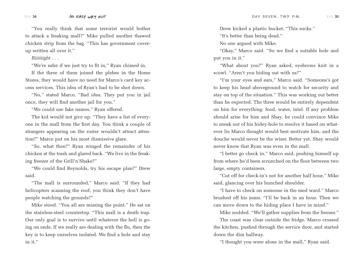"You really think that some terrorist would bother to attack a freaking mall?" Mike pulled another thawed chicken strip from the bag. "This has government coverup written all over it."

*Riiiiiight . . .*

"We're safer if we just try to fit in," Ryan chimed in.

If the three of them joined the plebes in the Home Stores, they would have no need for Marco's card key access services. This idea of Ryan's had to be shot down.

"No," stated Marco. "Bad idea. They put you in jail once, they will find another jail for you."

"We could use fake names," Ryan offered.

The kid would not give up. "They have a list of everyone in the mall from the first day. You think a couple of strangers appearing on the roster wouldn't attract attention?" Marco put on his most dismissive glare.

"So, what then?" Ryan winged the remainder of his chicken at the trash and glared back. "We live in the freaking freezer of the Grill'n'Shake?"

"We could find Reynolds, try his escape plan?" Drew said.

"The mall is surrounded," Marco said. "If they had helicopters scanning the roof, you think they don't have people watching the grounds?"

Mike stood. "You all are missing the point." He sat on the stainless-steel countertop. "This mall is a death trap. Our only goal is to survive until whatever the hell is going on ends. If we really are dealing with the flu, then the key is to keep ourselves isolated. We find a hole and stay in it."

Drew kicked a plastic bucket. "This sucks."

"It's better than being dead."

No one argued with Mike.

"Okay," Marco said. "So we find a suitable hole and put you in it."

"What about you?" Ryan asked, eyebrows knit in a scowl. "Aren't you hiding out with us?"

"I'm your eyes and ears," Marco said. "Someone's got to keep his head aboveground to watch for security and stay on top of the situation." This was working out better than he expected. The three would be entirely dependent on him for everything: food, water, intel. If any problem should arise for him and Shay, he could convince Mike to sneak out of his hidey-hole to resolve it based on whatever lie Marco thought would best motivate him, and the douche would never be the wiser. Better yet, Shay would never know that Ryan was even in the mall.

"I better go check in," Marco said, pushing himself up from where he'd been scrunched on the floor between two large, empty containers.

"Cut off for check-in's not for another half hour," Mike said, glancing over his hunched shoulder.

"I have to check on someone in the med ward." Marco brushed off his jeans. "I'll be back in an hour. Then we can move down to the hiding place I have in mind."

Mike nodded. "We'll gather supplies from the freezer."

The coast was clear outside the fridge. Marco crossed the kitchen, pushed through the service door, and started down the dim hallway.

"I thought you were alone in the mall," Ryan said.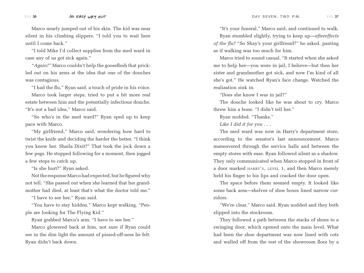Marco nearly jumped out of his skin. The kid was near silent in his climbing slippers. "I told you to wait here until I come back."

"I told Mike I'd collect supplies from the med ward in case any of us got sick again."

*"Again?"* Marco couldn't help the gooseflesh that prickled out on his arms at the idea that one of the douches was contagious.

"I had the flu," Ryan said, a touch of pride in his voice.

Marco took larger steps, tried to put a bit more real estate between him and the potentially infectious douche. "It's not a bad idea," Marco said.

"So who's in the med ward?" Ryan sped up to keep pace with Marco.

"My girlfriend," Marco said, wondering how hard to twist the knife and deciding the harder the better. "I think you know her. Shaila Dixit?" That took the jock down a few pegs. He stopped following for a moment, then jogged a few steps to catch up.

"Is she hurt?" Ryan asked.

Not the response Marco had expected, but he figured why not tell. "She passed out when she learned that her grandmother had died, at least that's what the doctor told me."

"I have to see her," Ryan said.

"You have to stay hidden." Marco kept walking. "People are looking for The Flying Kid."

Ryan grabbed Marco's arm. "I have to see her."

Marco glowered back at him, not sure if Ryan could see in the dim light the amount of pissed-off-ness he felt. Ryan didn't back down.

"It's your funeral," Marco said, and continued to walk. Ryan stumbled slightly, trying to keep up—*aftereffects of the flu?* "So Shay's your girlfriend?" he asked, panting as if walking was too much for him.

Marco tried to sound casual. "It started when she asked me to help her—you were in jail, I believe—but then her sister and grandmother got sick, and now I'm kind of all she's got." He watched Ryan's face change. Watched the realization sink in.

"Does she know I was in jail?"

The douche looked like he was about to cry. Marco threw him a bone. "I didn't tell her."

Ryan nodded. "Thanks."

*Like I did it for you . . .*

The med ward was now in Harry's department store, according to the senator's last announcement. Marco maneuvered through the service halls and between the empty stores with ease. Ryan followed silent as a shadow. They only communicated when Marco stopped in front of a door marked HARRY's, LEVEL 1, and then Marco merely held his finger to his lips and cracked the door open.

The space before them seemed empty. It looked like some back area—shelves of shoe boxes lined narrow corridors.

"We're clear," Marco said. Ryan nodded and they both slipped into the stockroom.

They followed a path between the stacks of shoes to a swinging door, which opened onto the main level. What had been the shoe department was now lined with cots and walled off from the rest of the showroom floor by a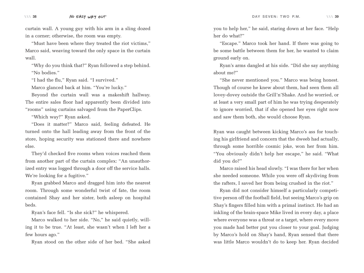curtain wall. A young guy with his arm in a sling dozed in a corner; otherwise, the room was empty.

"Must have been where they treated the riot victims," Marco said, weaving toward the only space in the curtain wall.

"Why do you think that?" Ryan followed a step behind. "No bodies."

"I had the flu," Ryan said. "I survived."

Marco glanced back at him. "You're lucky."

Beyond the curtain wall was a makeshift hallway. The entire sales floor had apparently been divided into "rooms" using curtains salvaged from the PaperClips.

"Which way?" Ryan asked.

"Does it matter?" Marco said, feeling defeated. He turned onto the hall leading away from the front of the store, hoping security was stationed there and nowhere else.

They'd checked five rooms when voices reached them from another part of the curtain complex: "An unauthorized entry was logged through a door off the service halls. We're looking for a fugitive."

Ryan grabbed Marco and dragged him into the nearest room. Through some wonderful twist of fate, the room contained Shay and her sister, both asleep on hospital beds.

Ryan's face fell. "Is she sick?" he whispered.

Marco walked to her side. "No," he said quietly, willing it to be true. "At least, she wasn't when I left her a few hours ago."

Ryan stood on the other side of her bed. "She asked

you to help her," he said, staring down at her face. "Help her do what?"

"Escape." Marco took her hand. If there was going to be some battle between them for her, he wanted to claim ground early on.

Ryan's arms dangled at his side. "Did she say anything about me?"

"She never mentioned you." Marco was being honest. Though of course he knew about them, had seen them all lovey-dovey outside the Grill'n'Shake. And he worried, or at least a very small part of him he was trying desperately to ignore worried, that if she opened her eyes right now and saw them both, she would choose Ryan.

Ryan was caught between kicking Marco's ass for touching his girlfriend and concern that the dweeb had actually, through some horrible cosmic joke, won her from him. "You obviously didn't help her escape," he said. "What did you do?"

Marco raised his head slowly. "I was there for her when she needed someone. While you were off skydiving from the rafters, I saved her from being crushed in the riot."

Ryan did not consider himself a particularly competitive person off the football field, but seeing Marco's grip on Shay's fingers filled him with a primal instinct. He had an inkling of the brain-space Mike lived in every day, a place where everyone was a threat or a target, where every move you made had better put you closer to your goal. Judging by Marco's hold on Shay's hand, Ryan sensed that there was little Marco wouldn't do to keep her. Ryan decided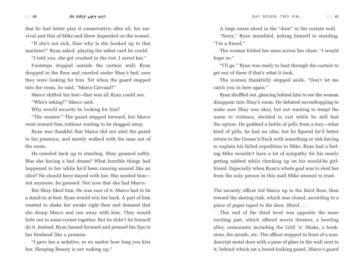that he had better play it conservative; after all, his survival and that of Mike and Drew depended on the weasel.

"If she's not sick, then why is she hooked up to that machine?" Ryan asked, playing the safest card he could.

"I told you, she got crushed in the riot. I *saved* her."

Footsteps stopped outside the curtain wall; Ryan dropped to the floor and crawled under Shay's bed, sure they were looking for him. Yet when the guard stepped into the room, he said, "Marco Carvajal?"

Marco shifted his feet—that was all Ryan could see. "Who's asking?" Marco said.

Why would security be looking for *him*?

"The senator." The guard stepped forward, but Marco went toward him without waiting to be dragged away.

Ryan was thankful that Marco did not alert the guard to his presence, and merely walked with the man out of the room.

He crawled back up to standing. Shay groaned softly. Was she having a bad dream? What horrible things had happened to her while he'd been running around like an idiot? He should have stayed with her. She needed him not anymore, he guessed. Not now that she had Marco.

But Shay liked him. He was sure of it. Marco had to be a stand-in at best. Ryan would win her back. A part of him wanted to shake her awake right then and demand that she dump Marco and run away with him. They would hide out in some corner together. But he didn't let himself do it. Instead, Ryan leaned forward and pressed his lips to her forehead like a promise.

"I gave her a sedative, so no matter how long you kiss her, Sleeping Beauty is not waking up."

A large nurse stood in the "door" in the curtain wall.

"Sorry," Ryan mumbled, jerking himself to standing. "I'm a friend."

The woman folded her arms across her chest. "I would hope so."

"I'll go." Ryan was ready to bust through the curtain to get out of there if that's what it took.

The woman thankfully stepped aside. "Don't let me catch you in here again."

Ryan shuffled out, glancing behind him to see the woman disappear into Shay's room. He debated eavesdropping to make sure Shay was okay, but not wanting to tempt the nurse to violence, decided to exit while he still had the option. He grabbed a bottle of pills from a tray—what kind of pills, he had no idea, but he figured he'd better return to the Grease'n'Suck with something or risk having to explain his failed expedition to Mike. Ryan had a feeling Mike wouldn't have a lot of sympathy for his nearly getting nabbed while checking up on his would-be girlfriend. Especially when Ryan's whole goal was to steal her from the only person in this mall Mike seemed to trust.

The security officer led Marco up to the third floor, then toward the skating rink, which was closed, according to a piece of paper taped to the door. *Weird . . .*

This end of the third level was opposite the more exciting part, which offered movie theaters, a bowling alley, restaurants including the Grill 'n' Shake, a bookstore, the arcade, etc. The officer stopped in front of a nondescript metal door with a pane of glass in the wall next to it, behind which sat a bored-looking guard. Marco's guard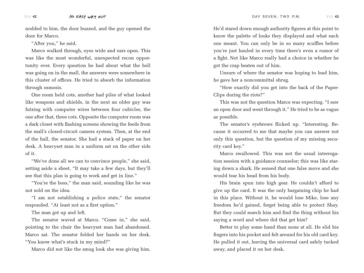nodded to him, the door buzzed, and the guy opened the door for Marco.

"After you," he said.

Marco walked through, eyes wide and ears open. This was like the most wonderful, unexpected recon opportunity ever. Every question he had about what the hell was going on in the mall, the answers were somewhere in this cluster of offices. He tried to absorb the information through osmosis.

One room held cots, another had piles of what looked like weapons and shields, in the next an older guy was futzing with computer wires between four cubicles, the one after that, three cots. Opposite the computer room was a dark closet with flashing screens showing the feeds from the mall's closed-circuit camera system. Then, at the end of the hall, the senator. She had a stack of paper on her desk. A heavyset man in a uniform sat on the other side of it.

"We've done all we can to convince people," she said, setting aside a sheet. "It may take a few days, but they'll see that this plan is going to work and get in line."

"You're the boss," the man said, sounding like he was not sold on the idea.

"I am not establishing a police state," the senator responded. "At least not as a first option."

The man got up and left.

The senator waved at Marco. "Come in," she said, pointing to the chair the heavyset man had abandoned. Marco sat. The senator folded her hands on her desk. "You know what's stuck in my mind?"

Marco did not like the smug look she was giving him.

He'd stared down enough authority figures at this point to know the palette of looks they displayed and what each one meant. You can only be in so many scuffles before you're just hauled in every time there's even a rumor of a fight. Not like Marco really had a choice in whether he got the crap beaten out of him.

Unsure of where the senator was hoping to lead him, he gave her a noncommittal shrug.

"How exactly did you get into the back of the Paper-Clips during the riots?"

This was not the question Marco was expecting. "I saw an open door and went through it." He tried to be as vague as possible.

The senator's eyebrows flicked up. "Interesting. Because it occurred to me that maybe you can answer not only this question, but the question of my missing security card key."

Marco swallowed. This was not the usual interrogation session with a guidance counselor; this was like staring down a shark. He sensed that one false move and she would tear his head from his body.

His brain spun into high gear. He couldn't afford to give up the card. It was the only bargaining chip he had in this place. Without it, he would lose Mike, lose any freedom he'd gained, forget being able to protect Shay. But they could search him and find the thing without his saying a word and where did that get him?

Better to play some hand than none at all. He slid his fingers into his pocket and felt around for his old card key. He pulled it out, leaving the universal card safely tucked away, and placed it on her desk.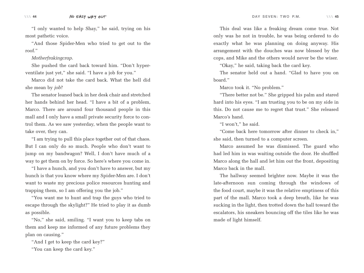"I only wanted to help Shay," he said, trying on his most pathetic voice.

"And those Spider-Men who tried to get out to the roof."

#### *Motherfrakingcrap*.

She pushed the card back toward him. "Don't hyperventilate just yet," she said. "I have a job for you."

Marco did not take the card back. What the hell did she mean by *job*?

The senator leaned back in her desk chair and stretched her hands behind her head. "I have a bit of a problem, Marco. There are around four thousand people in this mall and I only have a small private security force to control them. As we saw yesterday, when the people want to take over, they can.

"I am trying to pull this place together out of that chaos. But I can only do so much. People who don't want to jump on my bandwagon? Well, I don't have much of a way to get them on by force. So here's where you come in.

"I have a hunch, and you don't have to answer, but my hunch is that you know where my Spider-Men are. I don't want to waste my precious police resources hunting and trapping them, so I am offering you the job."

"You want me to hunt and trap the guys who tried to escape through the skylight?" He tried to play it as dumb as possible.

"No," she said, smiling. "I want you to keep tabs on them and keep me informed of any future problems they plan on causing."

"And I get to keep the card key?"

"You can keep the card key."

This deal was like a freaking dream come true. Not only was he not in trouble, he was being ordered to do exactly what he was planning on doing anyway. His arrangement with the douches was now blessed by the cops, and Mike and the others would never be the wiser.

"Okay," he said, taking back the card key.

The senator held out a hand. "Glad to have you on board."

Marco took it. "No problem."

"There better not be." She gripped his palm and stared hard into his eyes. "I am trusting you to be on my side in this. Do not cause me to regret that trust." She released Marco's hand.

"I won't," he said.

"Come back here tomorrow after dinner to check in," she said, then turned to a computer screen.

Marco assumed he was dismissed. The guard who had led him in was waiting outside the door. He shuffled Marco along the hall and let him out the front, depositing Marco back in the mall.

The hallway seemed brighter now. Maybe it was the late-afternoon sun coming through the windows of the food court, maybe it was the relative emptiness of this part of the mall. Marco took a deep breath, like he was sucking in the light, then trotted down the hall toward the escalators, his sneakers bouncing off the tiles like he was made of light himself.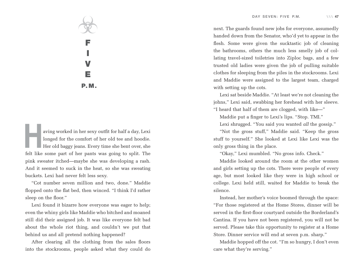F I V E P. M .

aving worked in her sexy outfit for half a day, Lexi longed for the comfort of her old tee and hoodie. Her old baggy jeans. Every time she bent over, she felt like some part of her pants was going to split. The pink sweater itched—maybe she was developing a rash. And it seemed to suck in the heat, so she was sweating buckets. Lexi had never felt less sexy.

"Cot number seven million and two, done." Maddie flopped onto the flat bed, then winced. "I think I'd rather sleep on the floor."

Lexi found it bizarre how everyone was eager to help; even the whiny girls like Maddie who bitched and moaned still did their assigned job. It was like everyone felt bad about the whole riot thing, and couldn't we put that behind us and all pretend nothing happened?

After clearing all the clothing from the sales floors into the stockrooms, people asked what they could do

next. The guards found new jobs for everyone, assumedly handed down from the Senator, who'd yet to appear in the flesh. Some were given the sucktastic job of cleaning the bathrooms, others the much less smelly job of collating travel-sized toiletries into Ziploc bags, and a few trusted old ladies were given the job of pulling suitable clothes for sleeping from the piles in the stockrooms. Lexi and Maddie were assigned to the largest team, charged with setting up the cots.

Lexi sat beside Maddie. "At least we're not cleaning the johns," Lexi said, swabbing her forehead with her sleeve.

"I heard that half of them are clogged, with like—"

Maddie put a finger to Lexi's lips. "Stop. TMI."

Lexi shrugged. "You said you wanted *all* the gossip."

"Not the gross stuff," Maddie said. "Keep the gross stuff to yourself." She looked at Lexi like Lexi was the only gross thing in the place.

"Okay," Lexi mumbled. "No gross info. Check."

Maddie looked around the room at the other women and girls setting up the cots. There were people of every age, but most looked like they were in high school or college. Lexi held still, waited for Maddie to break the silence.

Instead, her mother's voice boomed through the space: "For those registered at the Home Stores, dinner will be served in the first-floor courtyard outside the Borderland's Cantina. If you have not been registered, you will not be served. Please take this opportunity to register at a Home Store. Dinner service will end at seven p.m. sharp."

Maddie hopped off the cot. "I'm so hungry, I don't even care what they're serving."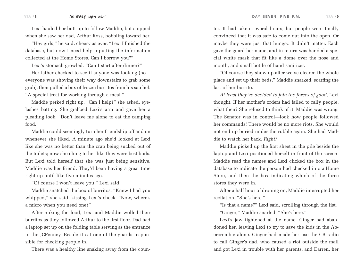Lexi hauled her butt up to follow Maddie, but stopped when she saw her dad, Arthur Ross, hobbling toward her.

"Hey girls," he said, cheery as ever. "Lex, I finished the database, but now I need help inputting the information collected at the Home Stores. Can I borrow you?"

Lexi's stomach growled. "Can I start after dinner?"

Her father checked to see if anyone was looking (no everyone was shoving their way downstairs to grab some grub), then pulled a box of frozen burritos from his satchel. "A special treat for working through a meal."

Maddie perked right up. "Can I help?" she asked, eyelashes batting. She grabbed Lexi's arm and gave her a pleading look. "Don't leave me alone to eat the camping food."

Maddie could seemingly turn her friendship off and on whenever she liked. A minute ago she'd looked at Lexi like she was no better than the crap being sucked out of the toilets; now she clung to her like they were best buds. But Lexi told herself that she was just being sensitive. Maddie was her friend. They'd been having a great time right up until like five minutes ago.

"Of course I won't leave you," Lexi said.

Maddie snatched the box of burritos. "Knew I had you whipped," she said, kissing Lexi's cheek. "Now, where's a micro when you need one?"

After nuking the food, Lexi and Maddie wolfed their burritos as they followed Arthur to the first floor. Dad had a laptop set up on the folding table serving as the entrance to the JCPenney. Beside it sat one of the guards responsible for checking people in.

There was a healthy line snaking away from the coun-

ter. It had taken several hours, but people were finally convinced that it was safe to come out into the open. Or maybe they were just that hungry. It didn't matter. Each gave the guard her name, and in return was handed a special white mask that fit like a dome over the nose and mouth, and small bottle of hand sanitizer.

"Of course they show up after we've cleared the whole place and set up their beds," Maddie snarked, scarfing the last of her burrito.

*At least they've decided to join the forces of good,* Lexi thought. If her mother's orders had failed to rally people, what then? She refused to think of it. Maddie was wrong. The Senator was in control—look how people followed her commands! There would be no more riots. She would not end up buried under the rubble again. She had Maddie to watch her back. *Right?*

Maddie picked up the first sheet in the pile beside the laptop and Lexi positioned herself in front of the screen. Maddie read the names and Lexi clicked the box in the database to indicate the person had checked into a Home Store, and then the box indicating which of the three stores they were in.

After a half hour of droning on, Maddie interrupted her recitation. "She's here."

"Is that a name?" Lexi said, scrolling through the list. "Ginger," Maddie snarled. "She's here."

Lexi's jaw tightened at the name. Ginger had abandoned her, leaving Lexi to try to save the kids in the Abercrombie alone. Ginger had made her use the CB radio to call Ginger's dad, who caused a riot outside the mall and got Lexi in trouble with her parents, and Darren, her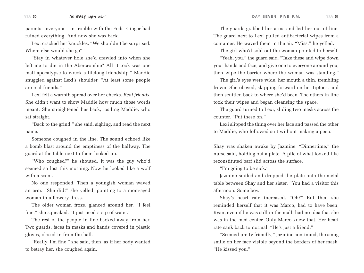parents—everyone—in trouble with the Feds. Ginger had ruined everything. And now she was back.

Lexi cracked her knuckles. "We shouldn't be surprised. Where else would she go?"

"Stay in whatever hole she'd crawled into when she left me to die in the Abercrombie? All it took was one mall apocalypse to wreck a lifelong friendship." Maddie snuggled against Lexi's shoulder. "At least some people are real friends."

Lexi felt a warmth spread over her cheeks. *Real friends*. She didn't want to show Maddie how much those words meant. She straightened her back, jostling Maddie, who sat straight.

"Back to the grind," she said, sighing, and read the next name.

Someone coughed in the line. The sound echoed like a bomb blast around the emptiness of the hallway. The guard at the table next to them looked up.

"Who coughed?" he shouted. It was the guy who'd seemed so lost this morning. Now he looked like a wolf with a scent.

No one responded. Then a youngish woman waved an arm. "She did!" she yelled, pointing to a mom-aged woman in a flowery dress.

The older woman froze, glanced around her. "I feel fine," she squeaked. "I just need a sip of water."

The rest of the people in line backed away from her. Two guards, faces in masks and hands covered in plastic gloves, closed in from the hall.

"Really, I'm fine," she said, then, as if her body wanted to betray her, she coughed again.

The guards grabbed her arms and led her out of line. The guard next to Lexi pulled antibacterial wipes from a container. He waved them in the air. "Miss," he yelled.

The girl who'd sold out the woman pointed to herself.

"Yeah, you," the guard said. "Take these and wipe down your hands and face, and give one to everyone around you, then wipe the barrier where the woman was standing."

The girl's eyes were wide, her mouth a thin, trembling frown. She obeyed, skipping forward on her tiptoes, and then scuttled back to where she'd been. The others in line took their wipes and began cleansing the space.

The guard turned to Lexi, sliding two masks across the counter. "Put these on."

Lexi slipped the thing over her face and passed the other to Maddie, who followed suit without making a peep.

Shay was shaken awake by Jazmine. "Dinnertime," the nurse said, holding out a plate. A pile of what looked like reconstituted barf slid across the surface.

"I'm going to be sick."

Jazmine smiled and dropped the plate onto the metal table between Shay and her sister. "You had a visitor this afternoon. Some boy."

Shay's heart rate increased. "Oh?" But then she reminded herself that it was Marco, had to have been; Ryan, even if he was still in the mall, had no idea that she was in the med center. Only Marco knew that. Her heart rate sank back to normal. "He's just a friend."

"Seemed pretty friendly," Jazmine continued, the smug smile on her face visible beyond the borders of her mask. "He kissed you."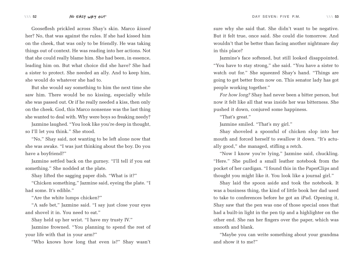Gooseflesh prickled across Shay's skin. Marco *kissed* her? No, that was against the rules. If she had kissed him on the cheek, that was only to be friendly. He was taking things out of context. He was reading into her actions. Not that she could really blame him. She had been, in essence, leading him on. But what choice did she have? She had a sister to protect. She needed an ally. And to keep him, she would do whatever she had to.

But she would say something to him the next time she saw him. There would be no kissing, especially while she was passed out. Or if he really needed a kiss, then only on the cheek. God, this Marco nonsense was the last thing she wanted to deal with. Why were boys so freaking needy?

Jazmine laughed. "You look like you're deep in thought, so I'll let you think." She stood.

"No," Shay said, not wanting to be left alone now that she was awake. "I was just thinking about the boy. Do you have a boyfriend?"

Jazmine settled back on the gurney. "I'll tell if you eat something." She nodded at the plate.

Shay lifted the sagging paper dish. "What is it?"

"Chicken something," Jazmine said, eyeing the plate. "I had some. It's edible."

"Are the white lumps chicken?"

"A safe bet," Jazmine said. "I say just close your eyes and shovel it in. You need to eat."

Shay held up her wrist. "I have my trusty IV."

Jazmine frowned. "You planning to spend the rest of your life with that in your arm?"

"Who knows how long that even is?" Shay wasn't

sure why she said that. She didn't want to be negative. But it felt true, once said. She could die tomorrow. And wouldn't that be better than facing another nightmare day in this place?

Jazmine's face softened, but still looked disappointed. "You have to stay strong," she said. "You have a sister to watch out for." She squeezed Shay's hand. "Things are going to get better from now on. This senator lady has got people working together."

*For how long?* Shay had never been a bitter person, but now it felt like all that was inside her was bitterness. She pushed it down, conjured some happiness.

"That's great."

Jazmine smiled. "That's my girl."

Shay shoveled a spoonful of chicken slop into her mouth and forced herself to swallow it down. "It's actually good," she managed, stifling a retch.

"Now I know you're lying," Jazmine said, chuckling. "Here." She pulled a small leather notebook from the pocket of her cardigan. "I found this in the PaperClips and thought you might like it. You look like a journal girl."

Shay laid the spoon aside and took the notebook. It was a business thing, the kind of little book her dad used to take to conferences before he got an iPad. Opening it, Shay saw that the pen was one of those special ones that had a built-in light in the pen tip and a highlighter on the other end. She ran her fingers over the paper, which was smooth and blank.

"Maybe you can write something about your grandma and show it to me?"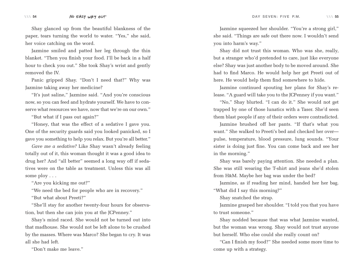Shay glanced up from the beautiful blankness of the paper, tears turning the world to water. "Yes," she said, her voice catching on the word.

Jazmine smiled and patted her leg through the thin blanket. "Then you finish your food. I'll be back in a half hour to check you out." She took Shay's wrist and gently removed the IV.

Panic gripped Shay. "Don't I need that?" Why was Jazmine taking away her medicine?

"It's just saline," Jazmine said. "And you're conscious now, so you can feed and hydrate yourself. We have to conserve what resources we have, now that we're on our own."

"But what if I pass out again?"

"Honey, that was the effect of a sedative I gave you. One of the security guards said you looked panicked, so I gave you something to help you relax. But you're all better."

*Gave me a sedative?* Like Shay wasn't already feeling totally out of it, this woman thought it was a good idea to drug her? And "all better" seemed a long way off if sedatives were on the table as treatment. Unless this was all some ploy . . .

"Are you kicking me out?"

"We need the bed for people who are in recovery." "But what about Preeti?"

"She'll stay for another twenty-four hours for observation, but then she can join you at the JCPenney."

Shay's mind raced. She would not be turned out into that madhouse. She would not be left alone to be crushed by the masses. Where was Marco? She began to cry. It was all she had left.

"Don't make me leave."

Jazmine squeezed her shoulder. "You're a strong girl," she said. "Things are safe out there now. I wouldn't send you into harm's way."

Shay did not trust this woman. Who was she, really, but a stranger who'd pretended to care, just like everyone else? Shay was just another body to be moved around. She had to find Marco. He would help her get Preeti out of here. He would help them find somewhere to hide.

Jazmine continued spouting her plans for Shay's release. "A guard will take you to the JCPenney if you want."

"No," Shay blurted. "I can do it." She would not get trapped by one of those lunatics with a Taser. She'd seen them blast people if any of their orders were contradicted.

Jazmine brushed off her pants. "If that's what you want." She walked to Preeti's bed and checked her over pulse, temperature, blood pressure, lung sounds. "Your sister is doing just fine. You can come back and see her in the morning."

Shay was barely paying attention. She needed a plan. She was still wearing the T-shirt and jeans she'd stolen from H&M. Maybe her bag was under the bed?

Jazmine, as if reading her mind, handed her her bag. "What did I say this morning?"

Shay snatched the strap.

Jazmine grasped her shoulder. "I told you that you have to trust someone."

Shay nodded because that was what Jazmine wanted, but the woman was wrong. Shay would not trust anyone but herself. Who else could she really count on?

"Can I finish my food?" She needed some more time to come up with a strategy.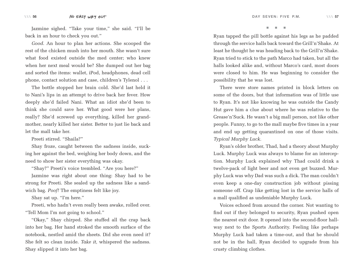Jazmine sighed. "Take your time," she said. "I'll be back in an hour to check you out."

*Good*. An hour to plan her actions. She scooped the rest of the chicken mush into her mouth. She wasn't sure what food existed outside the med center; who knew when her next meal would be? She dumped out her bag and sorted the items: wallet, iPod, headphones, dead cell phone, contact solution and case, children's Tylenol . . .

The bottle stopped her brain cold. She'd last held it to Nani's lips in an attempt to drive back her fever. How deeply she'd failed Nani. What an idiot she'd been to think she could save her. What good were her plans, really? She'd screwed up everything, killed her grandmother, nearly killed her sister. Better to just lie back and let the mall take her.

Preeti stirred. "Shaila?"

Shay froze, caught between the sadness inside, sucking her against the bed, weighing her body down, and the need to show her sister everything was okay.

"Shay?" Preeti's voice trembled. "Are you here?"

Jazmine was right about one thing: Shay had to be strong for Preeti. She sealed up the sadness like a sandwich bag. *Poof!* The emptiness felt like joy.

Shay sat up. "I'm here."

Preeti, who hadn't even really been awake, rolled over. "Tell Mom I'm not going to school."

"Okay," Shay chirped. She stuffed all the crap back into her bag. Her hand stroked the smooth surface of the notebook, nestled amid the sheets. Did she even need it? She felt so clean inside. *Take it,* whispered the sadness. Shay slipped it into her bag.

■ ■ ■

Ryan tapped the pill bottle against his legs as he padded through the service halls back toward the Grill'n'Shake. At least he thought he was heading back to the Grill'n'Shake. Ryan tried to stick to the path Marco had taken, but all the halls looked alike and, without Marco's card, most doors were closed to him. He was beginning to consider the possibility that he was lost.

There were store names printed in block letters on some of the doors, but that information was of little use to Ryan. It's not like knowing he was outside the Candy Hut gave him a clue about where he was relative to the Grease'n'Suck. He wasn't a big mall person, not like other people. Funny, to go to the mall maybe five times in a year and end up getting quarantined on one of those visits. *Typical Murphy Luck.*

Ryan's older brother, Thad, had a theory about Murphy Luck. Murphy Luck was always to blame for an interception. Murphy Luck explained why Thad could drink a twelve-pack of light beer and not even get buzzed. Murphy Luck was why Dad was such a dick. The man couldn't even keep a one-day construction job without pissing someone off. Crap like getting lost in the service halls of a mall qualified as undeniable Murphy Luck.

Voices echoed from around the corner. Not wanting to find out if they belonged to security, Ryan pushed open the nearest exit door. It opened into the second-floor hallway next to the Sports Authority. Feeling like perhaps Murphy Luck had taken a time-out, and that he should not be in the hall, Ryan decided to upgrade from his crusty climbing clothes.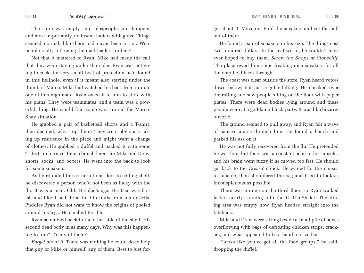The store was empty—no salespeople, no shoppers, and most importantly, no insane looters with guns. Things seemed normal, like there had never been a riot. Were people really following the mall leader's orders?

Not that it mattered to Ryan. Mike had made the call that they were staying under the radar. Ryan was not going to rock the very small boat of protection he'd found in this hellhole, even if it meant also staying under the thumb of Marco. Mike had watched his back from minute one of this nightmare. Ryan owed it to him to stick with his plans. They were teammates, and a team was a powerful thing. He would find some way around the Marco-Shay situation.

He grabbed a pair of basketball shorts and a T-shirt, then decided, why stop there? They were obviously taking up residence in the place and might want a change of clothes. He grabbed a duffel and packed it with some T-shirts in his size, then a bunch larger for Mike and Drew, shorts, socks, and boxers. He went into the back to look for some sneakers.

As he rounded the corner of one floor-to-ceiling shelf, he discovered a person who'd not been as lucky with the flu. It was a man. Old. His dad's age. His face was bluish and blood had dried in thin trails from his nostrils. Puddles Ryan did not want to know the origins of pooled around his legs. He smelled terrible.

Ryan scrambled back to the other side of the shelf. His second dead body in as many days. Why was this happening to him? To any of them?

*Forget about it.* There was nothing he could do to help that guy or Mike or himself, any of them. Best to just forget about it. Move on. Find the sneakers and get the hell out of there.

He found a pair of sneakers in his size. The things cost two hundred dollars. In the real world, he couldn't have ever hoped to buy them. *Screw the Shops at Stonecliff.* The place owed him some freaking nice sneakers for all the crap he'd been through.

The coast was clear outside the store. Ryan heard voices down below, but just regular talking. He checked over the railing and saw people sitting on the floor with paper plates. There were dead bodies lying around and these people were at a goddamn block party. It was like bizarreo-world.

The ground seemed to pull away, and Ryan felt a wave of nausea course through him. He found a bench and parked his ass on it.

He was not fully recovered from the flu. He pretended he was fine, but there was a constant ache in his muscles and his brain went fuzzy if he moved too fast. He should get back to the Grease'n'Suck. He waited for the nausea to subside, then shouldered the bag and tried to look as inconspicuous as possible.

There was no one on the third floor, so Ryan walked faster, nearly running into the Grill'n'Shake. The dining area was empty now. Ryan headed straight into the kitchens.

Mike and Drew were sitting beside a small pile of boxes overflowing with bags of defrosting chicken strips, crackers, and what appeared to be a handle of vodka.

"Looks like you've got all the food groups," he said, dropping the duffel.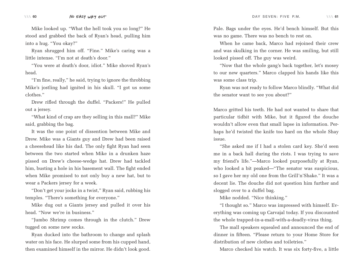Mike looked up. "What the hell took you so long?" He stood and grabbed the back of Ryan's head, pulling him into a hug. "You okay?"

Ryan shrugged him off. "Fine." Mike's caring was a little intense. "I'm not at death's door."

"You were at death's door, idiot." Mike shoved Ryan's head.

"I'm fine, really," he said, trying to ignore the throbbing Mike's jostling had ignited in his skull. "I got us some clothes."

Drew rifled through the duffel. "Packers!" He pulled out a jersey.

"What kind of crap are they selling in this mall?" Mike said, grabbing the bag.

It was the one point of dissention between Mike and Drew. Mike was a Giants guy and Drew had been raised a cheesehead like his dad. The only fight Ryan had seen between the two started when Mike in a drunken haze pissed on Drew's cheese-wedge hat. Drew had tackled him, busting a hole in his basement wall. The fight ended when Mike promised to not only buy a new hat, but to wear a Packers jersey for a week.

"Don't get your jocks in a twist," Ryan said, rubbing his temples. "There's something for everyone."

Mike dug out a Giants jersey and pulled it over his head. "Now we're in business."

"Jumbo Shrimp comes through in the clutch." Drew tugged on some new socks.

Ryan ducked into the bathroom to change and splash water on his face. He slurped some from his cupped hand, then examined himself in the mirror. He didn't look good.

Pale. Bags under the eyes. He'd bench himself. But this was no game. There was no bench to rest on.

When he came back, Marco had rejoined their crew and was skulking in the corner. He was smiling, but still looked pissed off. The guy was weird.

"Now that the whole gang's back together, let's mosey to our new quarters." Marco clapped his hands like this was some class trip.

Ryan was not ready to follow Marco blindly. "What did the senator want to see you about?"

Marco gritted his teeth. He had not wanted to share that particular tidbit with Mike, but it figured the douche wouldn't allow even that small lapse in information. Perhaps he'd twisted the knife too hard on the whole Shay issue.

"She asked me if I had a stolen card key. She'd seen me in a back hall during the riots. I was trying to save my friend's life."—Marco looked purposefully at Ryan, who looked a bit peaked—"The senator was suspicious, so I gave her my old one from the Grill'n'Shake." It was a decent lie. The douche did not question him further and slogged over to a duffel bag.

Mike nodded. "Nice thinking."

"I thought so." Marco was impressed with himself. Everything was coming up Carvajal today. If you discounted the whole trapped-in-a-mall-with-a-deadly-virus thing.

The mall speakers squealed and announced the end of dinner in fifteen. "Please return to your Home Store for distribution of new clothes and toiletries."

Marco checked his watch. It was six forty-five, a little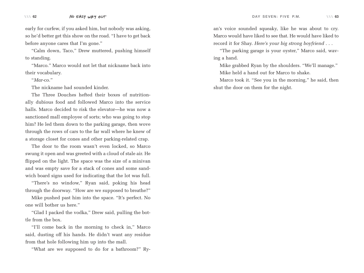early for curfew, if you asked him, but nobody was asking, so he'd better get this show on the road. "I have to get back before anyone cares that I'm gone."

"Calm down, Taco," Drew muttered, pushing himself to standing.

"Marco." Marco would not let that nickname back into their vocabulary.

"*Mar*-co."

The nickname had sounded kinder.

The Three Douches hefted their boxes of nutritionally dubious food and followed Marco into the service halls. Marco decided to risk the elevator—he was now a sanctioned mall employee of sorts; who was going to stop him? He led them down to the parking garage, then wove through the rows of cars to the far wall where he knew of a storage closet for cones and other parking-related crap.

The door to the room wasn't even locked, so Marco swung it open and was greeted with a cloud of stale air. He flipped on the light. The space was the size of a minivan and was empty save for a stack of cones and some sandwich board signs used for indicating that the lot was full.

"There's no window," Ryan said, poking his head through the doorway. "How are we supposed to breathe?"

Mike pushed past him into the space. "It's perfect. No one will bother us here."

"Glad I packed the vodka," Drew said, pulling the bottle from the box.

"I'll come back in the morning to check in," Marco said, dusting off his hands. He didn't want any residue from that hole following him up into the mall.

"What are we supposed to do for a bathroom?" Ry-

an's voice sounded squeaky, like he was about to cry. Marco would have liked to see that. He would have liked to record it for Shay. *Here's your big strong boyfriend* . . .

"The parking garage is your oyster," Marco said, waving a hand.

Mike grabbed Ryan by the shoulders. "We'll manage." Mike held a hand out for Marco to shake.

Marco took it. "See you in the morning," he said, then shut the door on them for the night.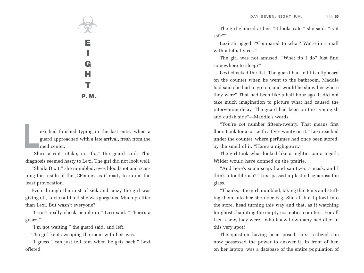111 65 DAY SEVEN: EIGHT P.M.

E I G H T P. M .

exi had finished typing in the last entry when a guard approached with a late arrival, fresh from the med center.

"She's a riot intake, not flu," the guard said. This diagnosis seemed hasty to Lexi. The girl did not look well.

"Shaila Dixit," she mumbled, eyes bloodshot and scanning the inside of the JCPenney as if ready to run at the least provocation.

Even through the mist of sick and crazy the girl was giving off, Lexi could tell she was gorgeous. Much prettier than Lexi. But wasn't everyone?

"I can't really check people in," Lexi said. "There's a guard."

"I'm not waiting," the guard said, and left.

The girl kept sweeping the room with her eyes.

"I guess I can just tell him when he gets back," Lexi offered.

The girl glanced at her. "It looks safe," she said. "Is it safe?"

Lexi shrugged. "Compared to what? We're in a mall with a lethal virus."

The girl was not amused. "What do I do? Just find somewhere to sleep?"

Lexi checked the list. The guard had left his clipboard on the counter when he went to the bathroom. Maddie had said she had to go too, and would he show her where they were? That had been like a half hour ago. It did not take much imagination to picture what had caused the intervening delay. The guard had been on the "youngish and cutish side"—Maddie's words.

"You're cot number fifteen-twenty. That means first floor. Look for a cot with a five-twenty on it." Lexi reached under the counter, where perfumes had once been stored, by the smell of it. "Here's a nightgown."

The girl took what looked like a nightie Laura Ingalls Wilder would have donned on the prairie.

"And here's some soap, hand sanitizer, a mask, and I think a toothbrush?" Lexi passed a plastic bag across the glass.

"Thanks," the girl mumbled, taking the items and stuffing them into her shoulder bag. She all but tiptoed into the store, head turning this way and that, as if watching for ghosts haunting the empty cosmetics counters. For all Lexi knew, they were—who knew how many had died in this very spot?

The question having been posed, Lexi realized she now possessed the power to answer it. In front of her, on her laptop, was a database of the entire population of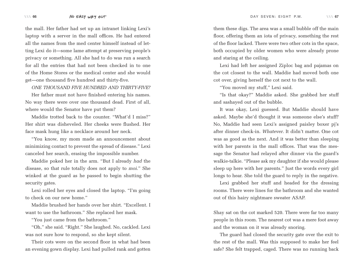the mall. Her father had set up an intranet linking Lexi's laptop with a server in the mall offices. He had entered all the names from the med center himself instead of letting Lexi do it—some lame attempt at preserving people's privacy or something. All she had to do was run a search for all the entries that had not been checked in to one of the Home Stores or the medical center and she would get—one thousand five hundred and thirty-five.

*ONE THOUSAND FIVE HUNDRED AND THIRTY-FIVE?*

Her father must not have finished entering his names. No way there were over one thousand dead. First of all, where would the Senator have put them?

Maddie trotted back to the counter. "What'd I miss?" Her shirt was disheveled. Her cheeks were flushed. Her face mask hung like a necklace around her neck.

"You know, my mom made an announcement about minimizing contact to prevent the spread of disease." Lexi canceled her search, erasing the impossible number.

Maddie poked her in the arm. "But I already *had* the disease, so that rule totally does not apply to *moi*." She winked at the guard as he passed to begin shutting the security gates.

Lexi rolled her eyes and closed the laptop. "I'm going to check on our new home."

Maddie brushed her hands over her shirt. "Excellent. I want to use the bathroom." She replaced her mask.

"You just came from the bathroom."

"Oh," she said. "Right." She laughed. No, cackled. Lexi was not sure how to respond, so she kept silent.

Their cots were on the second floor in what had been an evening gown display. Lexi had pulled rank and gotten

them these digs. The area was a small bubble off the main floor, offering them an iota of privacy, something the rest of the floor lacked. There were two other cots in the space, both occupied by older women who were already prone and staring at the ceiling.

Lexi had left her assigned Ziploc bag and pajamas on the cot closest to the wall. Maddie had moved both one cot over, giving herself the cot next to the wall.

"You moved my stuff," Lexi said.

"Is that okay?" Maddie asked. She grabbed her stuff and sashayed out of the bubble.

It was okay, Lexi guessed. But Maddie should have asked. Maybe she'd thought it was someone else's stuff? No, Maddie had seen Lexi's assigned paisley boxer pj's after dinner check-in. *Whatever*. It didn't matter. One cot was as good as the next. And it was better than sleeping with her parents in the mall offices. That was the message the Senator had relayed after dinner via the guard's walkie-talkie. "Please ask my daughter if she would please sleep up here with her parents." Just the words every girl longs to hear. She told the guard to reply in the negative.

Lexi grabbed her stuff and headed for the dressing rooms. There were lines for the bathroom and she wanted out of this hairy nightmare sweater ASAP.

Shay sat on the cot marked 520. There were far too many people in this room. The nearest cot was a mere foot away and the woman on it was already snoring.

The guard had closed the security gate over the exit to the rest of the mall. Was this supposed to make her feel safe? She felt trapped, caged. There was no running back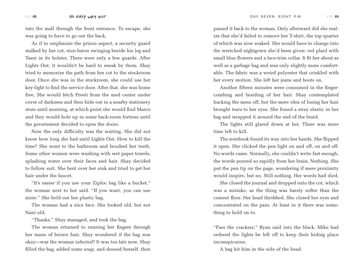into the mall through the front entrance. To escape, she was going to have to go out the back.

As if to emphasize the prison aspect, a security guard stalked by her cot, stun baton swinging beside his leg and Taser in its holster. There were only a few guards. After Lights Out, it wouldn't be hard to sneak by them. Shay tried to memorize the path from her cot to the stockroom door. Once she was in the stockroom, she could use her key-light to find the service door. After that, she was home free. She would fetch Preeti from the med center under cover of darkness and then hide out in a nearby stationery store until morning, at which point she would find Marco and they would hole up in some back-room fortress until the government decided to open the doors.

Now the only difficulty was the waiting. She did not know how long she had until Lights Out. How to kill the time? She went to the bathroom and brushed her teeth. Some other women were washing with wet paper towels, splashing water over their faces and hair. Shay decided to follow suit. She bent over her sink and tried to get her hair under the faucet.

"It's easier if you use your Ziploc bag like a bucket," the woman next to her said. "If you want, you can use mine." She held out her plastic bag.

The woman had a nice face. She looked old, but not Nani old.

"Thanks," Shay managed, and took the bag.

The woman returned to running her fingers through her mane of brown hair. Shay wondered if the bag was okay—was the woman infected? It was too late now. Shay filled the bag, added some soap, and doused herself, then passed it back to the woman. Only afterward did she realize that she'd failed to remove her T-shirt, the top quarter of which was now soaked. She would have to change into the wretched nightgown she'd been given: red plaid with small blue flowers and a lace-trim collar. It fit her about as well as a garbage bag and was only slightly more comfortable. The fabric was a weird polyester that crinkled with her every motion. She left her jeans and boots on.

Another fifteen minutes were consumed in the fingercombing and braiding of her hair. Shay contemplated hacking the mess off, but the mere idea of losing her hair brought tears to her eyes. She found a stray elastic in her bag and wrapped it around the end of the braid.

The lights still glared down at her. There was more time left to kill.

The notebook found its way into her hands. She flipped it open. She clicked the pen light on and off, on and off. No words came. Normally, she couldn't write fast enough, the words poured so rapidly from her brain. Nothing. She put the pen tip on the page, wondering if mere proximity would inspire, but no. Still nothing. Her words had died.

She closed the journal and dropped onto the cot, which was a mistake, as the thing was barely softer than the cement floor. Her head throbbed. She closed her eyes and concentrated on the pain. At least in it there was something to hold on to.

"Pass the crackers," Ryan said into the black. Mike had ordered the lights be left off to keep their hiding place inconspicuous.

A bag hit him in the side of the head.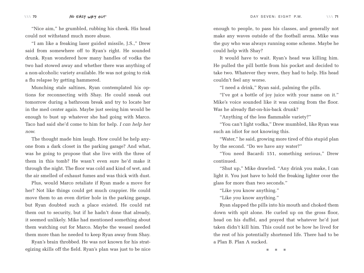"Nice aim," he grumbled, rubbing his cheek. His head could not withstand much more abuse.

"I am like a freaking laser guided missile, J.S.," Drew said from somewhere off to Ryan's right. He sounded drunk. Ryan wondered how many handles of vodka the two had stowed away and whether there was anything of a non-alcoholic variety available. He was not going to risk a flu relapse by getting hammered.

Munching stale saltines, Ryan contemplated his options for reconnecting with Shay. He could sneak out tomorrow during a bathroom break and try to locate her in the med center again. Maybe just seeing him would be enough to bust up whatever she had going with Marco. Taco had said she'd come to him for help. *I can help her now.*

The thought made him laugh. How could he help anyone from a dark closet in the parking garage? And what, was he going to propose that she live with the three of them in this tomb? He wasn't even sure he'd make it through the night. The floor was cold and kind of wet, and the air smelled of exhaust fumes and was thick with dust.

Plus, would Marco retaliate if Ryan made a move for her? Not like things could get much crappier. He could move them to an even dirtier hole in the parking garage, but Ryan doubted such a place existed. He could rat them out to security, but if he hadn't done that already, it seemed unlikely. Mike had mentioned something about them watching out for Marco. Maybe the weasel needed them more than he needed to keep Ryan away from Shay.

Ryan's brain throbbed. He was not known for his strategizing skills off the field. Ryan's plan was just to be nice enough to people, to pass his classes, and generally not make any waves outside of the football arena. Mike was the guy who was always running some scheme. Maybe he could help with Shay?

It would have to wait. Ryan's head was killing him. He pulled the pill bottle from his pocket and decided to take two. Whatever they were, they had to help. His head couldn't feel any worse.

"I need a drink," Ryan said, palming the pills.

"I've got a bottle of joy juice with your name on it." Mike's voice sounded like it was coming from the floor. Was he already flat-on-his-back drunk?

"Anything of the less flammable variety?"

"You can't light vodka," Drew mumbled, like Ryan was such an idiot for not knowing this.

"Water," he said, growing more tired of this stupid plan by the second. "Do we have any water?"

"You need Bacardi 151, something serious," Drew continued.

"Shut up," Mike drawled. "Any drink you make, I can light it. You just have to hold the freaking lighter over the glass for more than two seconds."

"Like you know anything."

"Like *you* know anything."

Ryan slapped the pills into his mouth and choked them down with spit alone. He curled up on the gross floor, head on his duffel, and prayed that whatever he'd just taken didn't kill him. This could not be how he lived for the rest of his potentially shortened life. There had to be a Plan B. Plan A sucked.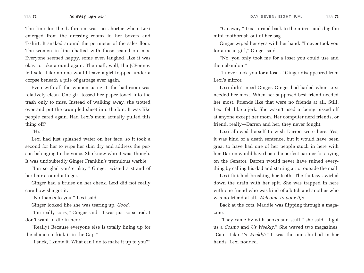The line for the bathroom was no shorter when Lexi emerged from the dressing rooms in her boxers and T-shirt. It snaked around the perimeter of the sales floor. The women in line chatted with those seated on cots. Everyone seemed happy, some even laughed, like it was okay to joke around again. The mall, well, the JCPenney felt safe. Like no one would leave a girl trapped under a corpse beneath a pile of garbage ever again.

Even with all the women using it, the bathroom was relatively clean. One girl tossed her paper towel into the trash only to miss. Instead of walking away, she trotted over and put the crumpled sheet into the bin. It was like people cared again. Had Lexi's mom actually pulled this thing off?

#### "Hi."

Lexi had just splashed water on her face, so it took a second for her to wipe her skin dry and address the person belonging to the voice. She knew who it was, though. It was undoubtedly Ginger Franklin's tremulous warble.

"I'm so glad you're okay." Ginger twisted a strand of her hair around a finger.

Ginger had a bruise on her cheek. Lexi did not really care how she got it.

"No thanks to you," Lexi said.

Ginger looked like she was tearing up. *Good.*

"I'm really sorry," Ginger said. "I was just so scared. I don't want to die in here."

"Really? Because everyone else is totally lining up for the chance to kick it in the Gap."

"I suck, I know it. What can I do to make it up to you?"

"Go away." Lexi turned back to the mirror and dug the mini toothbrush out of her bag.

Ginger wiped her eyes with her hand. "I never took you for a mean girl," Ginger said.

"No, you only took me for a loser you could use and then abandon."

"I never took you for a loser." Ginger disappeared from Lexi's mirror.

Lexi didn't need Ginger. Ginger had bailed when Lexi needed her most. When her supposed best friend needed her most. Friends like that were no friends at all. Still, Lexi felt like a jerk. She wasn't used to being pissed off at anyone except her mom. Her computer nerd friends, or friend, really—Darren and her, they never fought.

Lexi allowed herself to wish Darren were here. Yes, it was kind of a death sentence, but it would have been great to have had one of her people stuck in here with her. Darren would have been the perfect partner for spying on the Senator. Darren would never have ruined everything by calling his dad and starting a riot outside the mall.

Lexi finished brushing her teeth. The fantasy swirled down the drain with her spit. She was trapped in here with one friend who was kind of a bitch and another who was no friend at all. *Welcome to your life.*

Back at the cots, Maddie was flipping through a magazine.

"They came by with books and stuff," she said. "I got us a *Cosmo* and *Us Weekly*." She waved two magazines. "Can I take *Us Weekly*?" It was the one she had in her hands. Lexi nodded.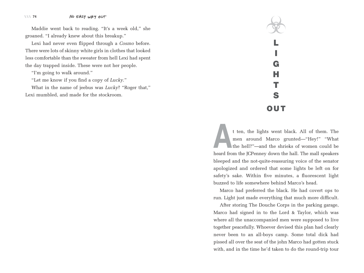NO EASY WAY OUT

Maddie went back to reading. "It's a week old," she groaned. "I already knew about this breakup."

Lexi had never even flipped through a *Cosmo* before. There were lots of skinny white girls in clothes that looked less comfortable than the sweater from hell Lexi had spent the day trapped inside. These were not her people.

"I'm going to walk around."

"Let me know if you find a copy of *Lucky*."

What in the name of jeebus was *Lucky*? "Roger that," Lexi mumbled, and made for the stockroom.



<sup>t</sup> ten, the lights went black. All of them. The<br>men around Marco grunted—"Hey!" "What<br>the hell?"—and the shrieks of women could be<br>heard from the ICPenney down the hall. The mall sneakers men around Marco grunted—"Hey!" "What the hell?"—and the shrieks of women could be heard from the JCPenney down the hall. The mall speakers bleeped and the not-quite-reassuring voice of the senator apologized and ordered that some lights be left on for safety's sake. Within five minutes, a fluorescent light buzzed to life somewhere behind Marco's head.

Marco had preferred the black. He had covert ops to run. Light just made everything that much more difficult.

After storing The Douche Corps in the parking garage, Marco had signed in to the Lord & Taylor, which was where all the unaccompanied men were supposed to live together peacefully. Whoever devised this plan had clearly never been to an all-boys camp. Some total dick had pissed all over the seat of the john Marco had gotten stuck with, and in the time he'd taken to do the round-trip tour

111 74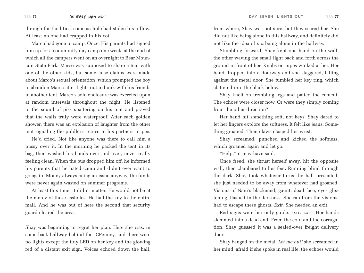through the facilities, some asshole had stolen his pillow. At least no one had crapped in his cot.

Marco had gone to camp. Once. His parents had signed him up for a community day camp one week, at the end of which all the campers went on an overnight to Bear Mountain State Park. Marco was supposed to share a tent with one of the other kids, but some false claims were made about Marco's sexual orientation, which prompted the boy to abandon Marco after lights-out to bunk with his friends in another tent. Marco's solo enclosure was excreted upon at random intervals throughout the night. He listened to the sound of piss spattering on his tent and prayed that the walls truly were waterproof. After each golden shower, there was an explosion of laughter from the other tent signaling the piddler's return to his partners in pee.

He'd cried. Not like anyone was there to call him a pussy over it. In the morning he packed the tent in its bag, then washed his hands over and over, never really feeling clean. When the bus dropped him off, he informed his parents that he hated camp and didn't ever want to go again. Money always being an issue anyway, the funds were never again wasted on summer programs.

At least this time, it didn't matter. He would not be at the mercy of these assholes. He had the key to the entire mall. And he was out of here the second that security guard cleared the area.

Shay was beginning to regret her plan. Here she was, in some back hallway behind the JCPenney, and there were no lights except the tiny LED on her key and the glowing red of a distant exit sign. Voices echoed down the hall, from where, Shay was not sure, but they scared her. She did not like being alone in this hallway, and definitely did not like the idea of *not* being alone in the hallway.

Stumbling forward, Shay kept one hand on the wall, the other waving the small light back and forth across the ground in front of her. Knobs on pipes winked at her. Her hand dropped into a doorway and she staggered, falling against the metal door. She fumbled her key ring, which clattered into the black below.

Shay knelt on trembling legs and patted the cement. The echoes were closer now. Or were they simply coming from the other direction?

Her hand hit something soft, not keys. Shay dared to let her fingers explore the softness. It felt like jeans. Something groaned. Then claws clasped her wrist.

Shay screamed, punched and kicked the softness, which groaned again and let go.

"Help," it may have said.

Once freed, she thrust herself away, hit the opposite wall, then clambered to her feet. Running blind through the dark, Shay took whatever turns the hall presented; she just needed to be away from whatever had groaned. Visions of Nani's blackened, gaunt, dead face, eyes glistening, flashed in the darkness. She ran from the visions, had to escape these ghosts. *Exit*. She needed an exit.

Red signs were her only guide. EXIT. EXIT. Her hands slammed into a dead end. From the cold and the corrugation, Shay guessed it was a sealed-over freight delivery door.

Shay banged on the metal. *Let me out!* she screamed in her mind, afraid if she spoke in real life, the echoes would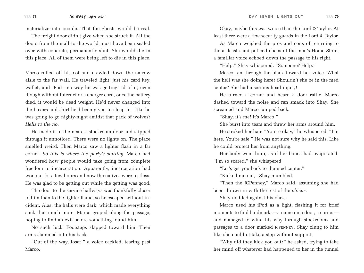materialize into people. That the ghosts would be real.

The freight door didn't give when she struck it. All the doors from the mall to the world must have been sealed over with concrete, permanently shut. She would die in this place. All of them were being left to die in this place.

Marco rolled off his cot and crawled down the narrow aisle to the far wall. He traveled light, just his card key, wallet, and iPod—no way he was getting rid of it, even though without Internet or a charger cord, once the battery died, it would be dead weight. He'd never changed into the boxers and shirt he'd been given to sleep in—like he was going to go nighty-night amidst that pack of wolves? *Hells to the no.*

He made it to the nearest stockroom door and slipped through it unnoticed. There were no lights on. The place smelled weird. Then Marco saw a lighter flash in a far corner. *So this is where the party's starting.* Marco had wondered how people would take going from complete freedom to incarceration. Apparently, incarceration had won out for a few hours and now the natives were restless. He was glad to be getting out while the getting was good.

The door to the service hallways was thankfully closer to him than to the lighter flame, so he escaped without incident. Alas, the halls were dark, which made everything suck that much more. Marco groped along the passage, hoping to find an exit before something found him.

No such luck. Footsteps slapped toward him. Then arms slammed into his back.

"Out of the way, loser!" a voice cackled, tearing past Marco.

Okay, maybe this was worse than the Lord & Taylor. At least there were a few security guards in the Lord & Taylor.

As Marco weighed the pros and cons of returning to the at least semi-policed chaos of the men's Home Store, a familiar voice echoed down the passage to his right.

"Help," Shay whispered. "Someone? Help."

Marco ran through the black toward her voice. What the hell was she doing here? Shouldn't she be in the med center? She had a serious head injury!

He turned a corner and heard a door rattle. Marco dashed toward the noise and ran smack into Shay. She screamed and Marco jumped back.

"Shay, it's me! It's Marco!"

She burst into tears and threw her arms around him.

He stroked her hair. "You're okay," he whispered. "I'm here. You're safe." He was not sure why he said this. Like he could protect her from anything.

Her body went limp, as if her bones had evaporated. "I'm so scared," she whispered.

"Let's get you back to the med center."

"Kicked me out," Shay mumbled.

"Then the JCPenney," Marco said, assuming she had been thrown in with the rest of the *chicas*.

Shay nodded against his chest.

Marco used his iPod as a light, flashing it for brief moments to find landmarks—a name on a door, a corner and managed to wind his way through stockrooms and passages to a door marked jcpenney. Shay clung to him like she couldn't take a step without support.

"Why did they kick you out?" he asked, trying to take her mind off whatever had happened to her in the tunnel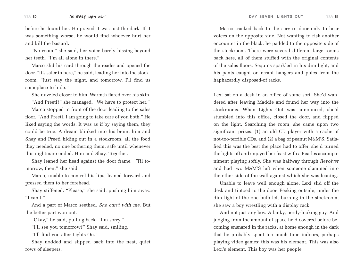before he found her. He prayed it was just the dark. If it was something worse, he would find whoever hurt her and kill the bastard.

"No room," she said, her voice barely hissing beyond her teeth. "I'm all alone in there."

Marco slid his card through the reader and opened the door. "It's safer in here," he said, leading her into the stockroom. "Just stay the night, and tomorrow, I'll find us someplace to hide."

She nuzzled closer to him. Warmth flared over his skin. "And Preeti?" she managed. "We have to protect her."

Marco stopped in front of the door leading to the sales floor. "And Preeti. I am going to take care of you both." He liked saying the words. It was as if by saying them, they could be true. A dream blinked into his brain, him and Shay and Preeti hiding out in a stockroom, all the food they needed, no one bothering them, safe until whenever this nightmare ended. Him and Shay. Together.

Shay leaned her head against the door frame. "'Til tomorrow, then," she said.

Marco, unable to control his lips, leaned forward and pressed them to her forehead.

Shay stiffened. "Please," she said, pushing him away. "I can't."

And a part of Marco seethed. *She can't with me*. But the better part won out.

"Okay," he said, pulling back. "I'm sorry."

"I'll see you tomorrow?" Shay said, smiling.

"I'll find you after Lights On."

Shay nodded and slipped back into the neat, quiet rows of sleepers.

Marco tracked back to the service door only to hear voices on the opposite side. Not wanting to risk another encounter in the black, he padded to the opposite side of the stockroom. There were several different large rooms back here, all of them stuffed with the original contents of the sales floors. Sequins sparkled in his dim light, and his pants caught on errant hangers and poles from the haphazardly disposed-of racks.

Lexi sat on a desk in an office of some sort. She'd wandered after leaving Maddie and found her way into the stockrooms. When Lights Out was announced, she'd stumbled into this office, closed the door, and flipped on the light. Searching the room, she came upon two significant prizes: (1) an old CD player with a cache of not-too-terrible CDs, and (2) a bag of peanut M&M'S. Satisfied this was the best the place had to offer, she'd turned the lights off and enjoyed her feast with a Beatles accompaniment playing softly. She was halfway through *Revolver* and had two M&M'S left when someone slammed into the other side of the wall against which she was leaning.

Unable to leave well enough alone, Lexi slid off the desk and tiptoed to the door. Peeking outside, under the dim light of the one bulb left burning in the stockroom, she saw a boy wrestling with a display rack.

And not just any boy. A lanky, nerdy-looking guy. And judging from the amount of space he'd covered before becoming ensnared in the racks, at home enough in the dark that he probably spent too much time indoors, perhaps playing video games; this was his element. This was also Lexi's element. This boy was her people.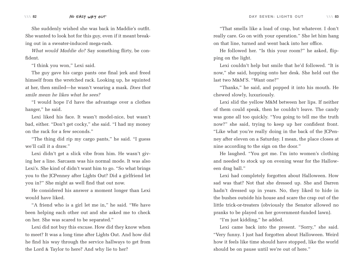She suddenly wished she was back in Maddie's outfit. She wanted to look hot for this guy, even if it meant breaking out in a sweater-induced mega-rash.

*What would Maddie do?* Say something flirty, be confident.

"I think you won," Lexi said.

The guy gave his cargo pants one final jerk and freed himself from the wretched rack. Looking up, he squinted at her, then smiled—he wasn't wearing a mask. *Does that smile mean he likes what he sees?*

"I would hope I'd have the advantage over a clothes hanger," he said.

Lexi liked his face. It wasn't model-nice, but wasn't bad, either. "Don't get cocky," she said. "I had my money on the rack for a few seconds."

"The thing did rip my cargo pants," he said. "I guess we'll call it a draw."

Lexi didn't get a slick vibe from him. He wasn't giving her a line. Sarcasm was his normal mode. It was also Lexi's. She kind of didn't want him to go. "So what brings you to the JCPenney after Lights Out? Did a girlfriend let you in?" She might as well find that out now.

He considered his answer a moment longer than Lexi would have liked.

"A friend who is a girl let me in," he said. "We have been helping each other out and she asked me to check on her. She was scared to be separated."

Lexi did not buy this excuse. How did they know when to meet? It was a long time after Lights Out. And how did he find his way through the service hallways to get from the Lord & Taylor to here? And why lie to her?

"That smells like a load of crap, but whatever. I don't really care. Go on with your operation." She let him hang on that line, turned and went back into her office.

He followed her. "Is this your room?" he asked, flipping on the light.

Lexi couldn't help but smile that he'd followed. "It is now," she said, hopping onto her desk. She held out the last two M&M'S. "Want one?"

"Thanks," he said, and popped it into his mouth. He chewed slowly, luxuriously.

Lexi slid the yellow M&M between her lips. If neither of them could speak, then he couldn't leave. The candy was gone all too quickly. "You going to tell me the truth now?" she said, trying to keep up her confident front. "Like what you're really doing in the back of the JCPenney after eleven on a Saturday. I mean, the place closes at nine according to the sign on the door."

He laughed. "You got me. I'm into women's clothing and needed to stock up on evening wear for the Halloween drag ball."

Lexi had completely forgotten about Halloween. How sad was that? Not that she dressed up. She and Darren hadn't dressed up in years. No, they liked to hide in the bushes outside his house and scare the crap out of the little trick-or-treaters (obviously the Senator allowed no pranks to be played on her government-funded lawn).

"I'm just kidding," he added.

Lexi came back into the present. "Sorry," she said. "Very funny. I just had forgotten about Halloween. Weird how it feels like time should have stopped, like the world should be on pause until we're out of here."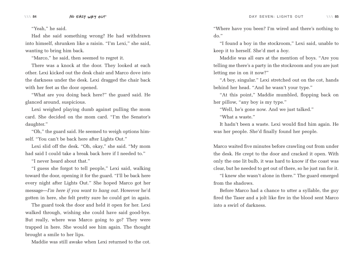"Yeah," he said.

Had she said something wrong? He had withdrawn into himself, shrunken like a raisin. "I'm Lexi," she said, wanting to bring him back.

"Marco," he said, then seemed to regret it.

There was a knock at the door. They looked at each other. Lexi kicked out the desk chair and Marco dove into the darkness under the desk. Lexi dragged the chair back with her feet as the door opened.

"What are you doing back here?" the guard said. He glanced around, suspicious.

Lexi weighed playing dumb against pulling the mom card. She decided on the mom card. "I'm the Senator's daughter."

"Oh," the guard said. He seemed to weigh options himself. "You can't be back here after Lights Out."

Lexi slid off the desk. "Oh, okay," she said. "My mom had said I could take a break back here if I needed to."

"I never heard about that."

"I guess she forgot to tell people," Lexi said, walking toward the door, opening it for the guard. "I'll be back here every night after Lights Out." She hoped Marco got her message—*I'm here if you want to hang out*. However he'd gotten in here, she felt pretty sure he could get in again.

The guard took the door and held it open for her. Lexi walked through, wishing she could have said good-bye. But really, where was Marco going to go? They were trapped in here. She would see him again. The thought brought a smile to her lips.

Maddie was still awake when Lexi returned to the cot.

"Where have you been? I'm wired and there's nothing to do."

"I found a boy in the stockroom," Lexi said, unable to keep it to herself. She'd met a *boy*.

Maddie was all ears at the mention of boys. "Are you telling me there's a party in the stockroom and you are just letting me in on it now?"

"*A* boy, singular." Lexi stretched out on the cot, hands behind her head. "And he wasn't your type."

"At this point," Maddie mumbled, flopping back on her pillow, "any boy is my type."

"Well, he's gone now. And we just talked."

"What a waste."

It hadn't been a waste. Lexi would find him again. He was her people. She'd finally found her people.

Marco waited five minutes before crawling out from under the desk. He crept to the door and cracked it open. With only the one lit bulb, it was hard to know if the coast was clear, but he needed to get out of there, so he just ran for it.

"I knew she wasn't alone in there." The guard emerged from the shadows.

Before Marco had a chance to utter a syllable, the guy fired the Taser and a jolt like fire in the blood sent Marco into a swirl of darkness.